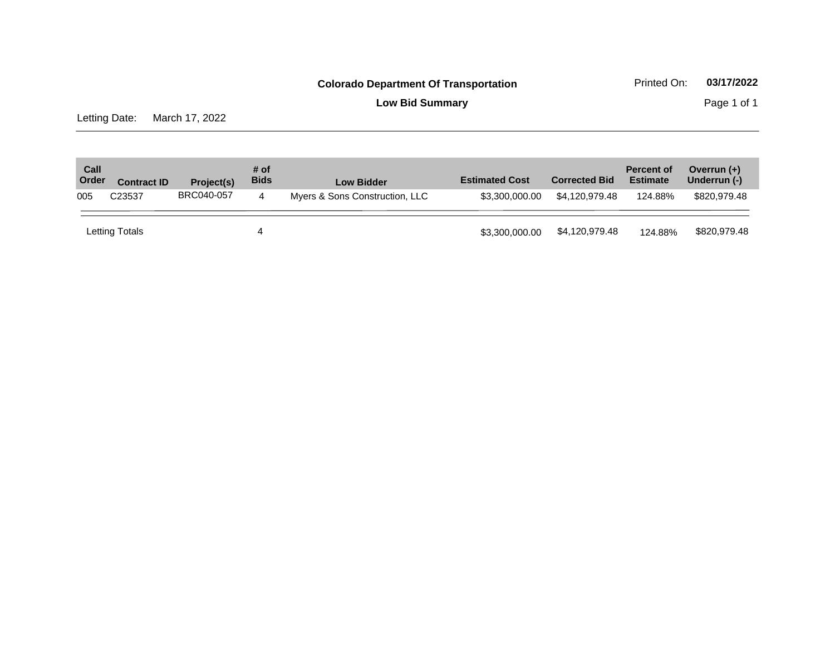**Low Bid Summary Page 1 of 1** 

Letting Date: March 17, 2022

| Call<br>Order | <b>Contract ID</b> | Project(s) | # of<br><b>Bids</b> | <b>Low Bidder</b>              | <b>Estimated Cost</b> | <b>Corrected Bid</b> | <b>Percent of</b><br><b>Estimate</b> | Overrun $(+)$<br>Underrun (-) |
|---------------|--------------------|------------|---------------------|--------------------------------|-----------------------|----------------------|--------------------------------------|-------------------------------|
| 005           | C23537             | BRC040-057 | 4                   | Myers & Sons Construction, LLC | \$3,300,000,00        | \$4.120.979.48       | 124.88%                              | \$820,979.48                  |
|               | Letting Totals     |            | 4                   |                                | \$3,300,000.00        | \$4,120,979.48       | 124.88%                              | \$820,979.48                  |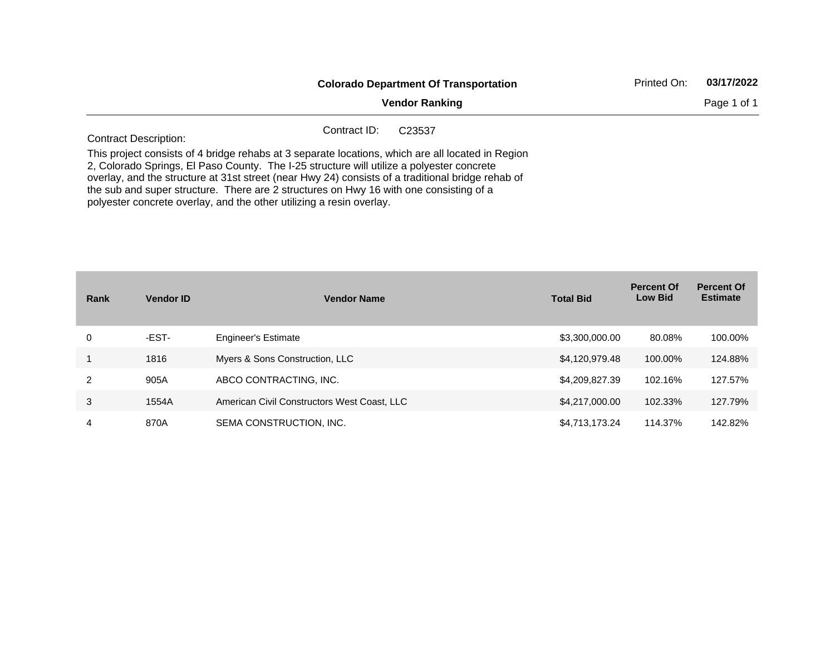|                                                                      | <b>Colorado Department Of Transportation</b><br><b>Vendor Ranking</b><br>Contract ID:<br>C <sub>23537</sub>                                                                                                                                                                                                                                                                                   | Printed On: | 03/17/2022  |
|----------------------------------------------------------------------|-----------------------------------------------------------------------------------------------------------------------------------------------------------------------------------------------------------------------------------------------------------------------------------------------------------------------------------------------------------------------------------------------|-------------|-------------|
|                                                                      |                                                                                                                                                                                                                                                                                                                                                                                               |             | Page 1 of 1 |
| <b>Contract Description:</b>                                         |                                                                                                                                                                                                                                                                                                                                                                                               |             |             |
| polyester concrete overlay, and the other utilizing a resin overlay. | This project consists of 4 bridge rehabs at 3 separate locations, which are all located in Region<br>2, Colorado Springs, El Paso County. The I-25 structure will utilize a polyester concrete<br>overlay, and the structure at 31st street (near Hwy 24) consists of a traditional bridge rehab of<br>the sub and super structure. There are 2 structures on Hwy 16 with one consisting of a |             |             |

| Rank | <b>Vendor ID</b> | <b>Vendor Name</b>                          | <b>Total Bid</b> | <b>Percent Of</b><br><b>Low Bid</b> | <b>Percent Of</b><br><b>Estimate</b> |
|------|------------------|---------------------------------------------|------------------|-------------------------------------|--------------------------------------|
| 0    | -EST-            | <b>Engineer's Estimate</b>                  | \$3,300,000.00   | 80.08%                              | 100.00%                              |
|      | 1816             | Myers & Sons Construction, LLC              | \$4,120,979.48   | 100.00%                             | 124.88%                              |
| 2    | 905A             | ABCO CONTRACTING, INC.                      | \$4,209,827.39   | 102.16%                             | 127.57%                              |
| 3    | 1554A            | American Civil Constructors West Coast, LLC | \$4,217,000.00   | 102.33%                             | 127.79%                              |
| 4    | 870A             | SEMA CONSTRUCTION, INC.                     | \$4,713,173.24   | 114.37%                             | 142.82%                              |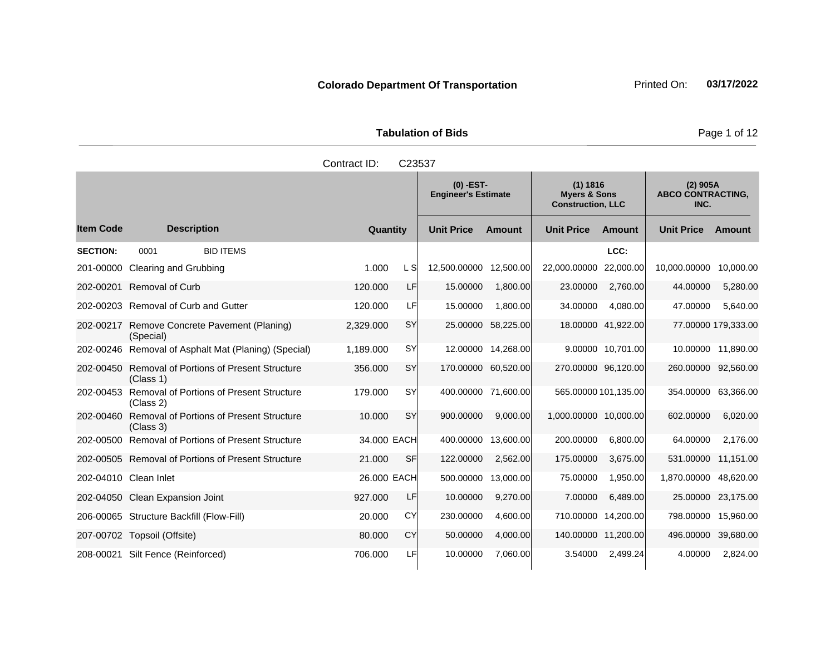|                     | <b>Tabulation of Bids</b>        |                          |  |
|---------------------|----------------------------------|--------------------------|--|
| Contract ID: C23537 |                                  |                          |  |
|                     | (0) -EST-<br>Engineer's Estimate | 1) 1816)<br>Myers & Sons |  |

|                  |                                                              |             |           | $(0)$ -EST-<br><b>Engineer's Estimate</b> |                     | (1) 1816<br><b>Myers &amp; Sons</b><br><b>Construction, LLC</b> |                      | $(2)$ 905A<br><b>ABCO CONTRACTING,</b><br>INC. |                     |
|------------------|--------------------------------------------------------------|-------------|-----------|-------------------------------------------|---------------------|-----------------------------------------------------------------|----------------------|------------------------------------------------|---------------------|
| <b>Item Code</b> | <b>Description</b>                                           | Quantity    |           | <b>Unit Price</b>                         | <b>Amount</b>       | <b>Unit Price</b>                                               | Amount               | <b>Unit Price</b>                              | Amount              |
| <b>SECTION:</b>  | <b>BID ITEMS</b><br>0001                                     |             |           |                                           |                     |                                                                 | LCC:                 |                                                |                     |
| 201-00000        | Clearing and Grubbing                                        | 1.000       | L Sl      | 12,500.00000                              | 12,500.00           | 22,000.00000                                                    | 22,000.00            | 10,000.00000                                   | 10,000.00           |
| 202-00201        | <b>Removal of Curb</b>                                       | 120,000     | LF        | 15.00000                                  | 1,800.00            | 23.00000                                                        | 2,760.00             | 44.00000                                       | 5,280.00            |
|                  | 202-00203 Removal of Curb and Gutter                         | 120.000     | LFI       | 15.00000                                  | 1,800.00            | 34.00000                                                        | 4,080.00             | 47.00000                                       | 5,640.00            |
| 202-00217        | Remove Concrete Pavement (Planing)<br>(Special)              | 2,329.000   | <b>SY</b> | 25.00000                                  | 58,225.00           |                                                                 | 18.00000 41,922.00   |                                                | 77.00000 179.333.00 |
|                  | 202-00246 Removal of Asphalt Mat (Planing) (Special)         | 1,189.000   | <b>SY</b> |                                           | 12.00000 14,268.00  |                                                                 | 9.00000 10.701.00    |                                                | 10.00000 11,890.00  |
| 202-00450        | <b>Removal of Portions of Present Structure</b><br>(Class 1) | 356.000     | SY        |                                           | 170.00000 60,520.00 |                                                                 | 270.00000 96,120.00  |                                                | 260.00000 92,560.00 |
| 202-00453        | Removal of Portions of Present Structure<br>(Class 2)        | 179.000     | SY        |                                           | 400.00000 71,600.00 |                                                                 | 565.00000 101,135.00 |                                                | 354.00000 63,366.00 |
| 202-00460        | <b>Removal of Portions of Present Structure</b><br>(Class 3) | 10.000      | <b>SY</b> | 900.00000                                 | 9,000.00            | 1,000.00000 10,000.00                                           |                      | 602.00000                                      | 6,020.00            |
| 202-00500        | <b>Removal of Portions of Present Structure</b>              | 34,000 EACH |           | 400.00000                                 | 13,600.00           | 200.00000                                                       | 6,800.00             | 64.00000                                       | 2,176.00            |
|                  | 202-00505 Removal of Portions of Present Structure           | 21.000      | <b>SF</b> | 122.00000                                 | 2,562.00            | 175.00000                                                       | 3,675.00             |                                                | 531.00000 11,151.00 |
|                  | 202-04010 Clean Inlet                                        | 26.000 EACH |           | 500.00000                                 | 13,000.00           | 75.00000                                                        | 1,950.00             | 1,870.00000                                    | 48,620.00           |
|                  | 202-04050 Clean Expansion Joint                              | 927.000     | LF        | 10.00000                                  | 9,270.00            | 7.00000                                                         | 6,489.00             |                                                | 25.00000 23,175.00  |
|                  | 206-00065 Structure Backfill (Flow-Fill)                     | 20.000      | CY        | 230.00000                                 | 4,600.00            | 710.00000                                                       | 14,200.00            | 798.00000                                      | 15,960.00           |
|                  | 207-00702 Topsoil (Offsite)                                  | 80.000      | CY        | 50.00000                                  | 4,000.00            |                                                                 | 140.00000 11,200.00  |                                                | 496.00000 39,680.00 |
|                  | 208-00021 Silt Fence (Reinforced)                            | 706.000     | LFI       | 10.00000                                  | 7,060.00            | 3.54000                                                         | 2,499.24             | 4.00000                                        | 2,824.00            |

Page 1 of 12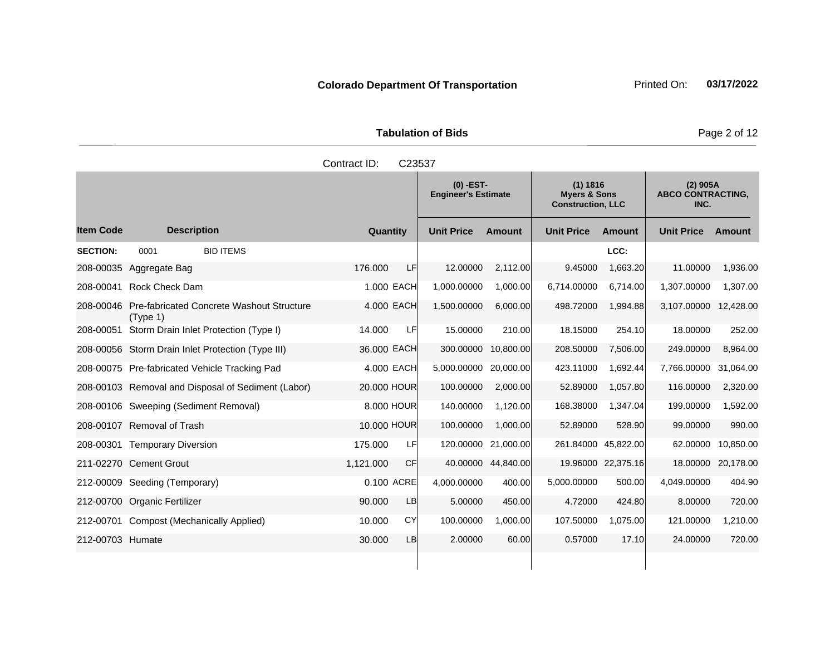**Tabulation of Bids Page 2 of 12** 

|                  |                                                                 | Contract ID: | C23537     |                                           |                    |                                                                 |                    |                                                |           |
|------------------|-----------------------------------------------------------------|--------------|------------|-------------------------------------------|--------------------|-----------------------------------------------------------------|--------------------|------------------------------------------------|-----------|
|                  |                                                                 |              |            | $(0)$ -EST-<br><b>Engineer's Estimate</b> |                    | (1) 1816<br><b>Myers &amp; Sons</b><br><b>Construction, LLC</b> |                    | $(2)$ 905A<br><b>ABCO CONTRACTING,</b><br>INC. |           |
| <b>Item Code</b> | <b>Description</b>                                              | Quantity     |            | <b>Unit Price</b>                         | Amount             | <b>Unit Price</b>                                               | Amount             | <b>Unit Price</b>                              | Amount    |
| <b>SECTION:</b>  | <b>BID ITEMS</b><br>0001                                        |              |            |                                           |                    |                                                                 | LCC:               |                                                |           |
|                  | 208-00035 Aggregate Bag                                         | 176,000      | <b>LF</b>  | 12.00000                                  | 2,112.00           | 9.45000                                                         | 1,663.20           | 11.00000                                       | 1,936.00  |
|                  | 208-00041 Rock Check Dam                                        |              | 1.000 EACH | 1,000.00000                               | 1,000.00           | 6,714.00000                                                     | 6,714.00           | 1,307.00000                                    | 1,307.00  |
|                  | 208-00046 Pre-fabricated Concrete Washout Structure<br>(Tvpe 1) |              | 4.000 EACH | 1,500.00000                               | 6,000.00           | 498.72000                                                       | 1,994.88           | 3,107.00000                                    | 12,428.00 |
| 208-00051        | Storm Drain Inlet Protection (Type I)                           | 14.000       | <b>LF</b>  | 15.00000                                  | 210.00             | 18.15000                                                        | 254.10             | 18.00000                                       | 252.00    |
|                  | 208-00056 Storm Drain Inlet Protection (Type III)               | 36.000 EACH  |            | 300.00000                                 | 10,800.00          | 208.50000                                                       | 7,506.00           | 249.00000                                      | 8,964.00  |
|                  | 208-00075 Pre-fabricated Vehicle Tracking Pad                   |              | 4.000 EACH | 5,000.00000                               | 20,000.00          | 423.11000                                                       | 1,692.44           | 7,766.00000                                    | 31,064.00 |
|                  | 208-00103 Removal and Disposal of Sediment (Labor)              | 20.000 HOUR  |            | 100.00000                                 | 2,000.00           | 52.89000                                                        | 1,057.80           | 116.00000                                      | 2,320.00  |
|                  | 208-00106 Sweeping (Sediment Removal)                           |              | 8.000 HOUR | 140.00000                                 | 1,120.00           | 168.38000                                                       | 1,347.04           | 199.00000                                      | 1,592.00  |
|                  | 208-00107 Removal of Trash                                      | 10.000 HOUR  |            | 100.00000                                 | 1,000.00           | 52.89000                                                        | 528.90             | 99.00000                                       | 990.00    |
|                  | 208-00301 Temporary Diversion                                   | 175.000      | <b>LF</b>  | 120.00000                                 | 21,000.00          | 261.84000 45,822.00                                             |                    | 62.00000                                       | 10,850.00 |
|                  | 211-02270 Cement Grout                                          | 1,121.000    | <b>CF</b>  |                                           | 40.00000 44,840.00 |                                                                 | 19.96000 22,375.16 | 18.00000                                       | 20,178.00 |
|                  | 212-00009 Seeding (Temporary)                                   |              | 0.100 ACRE | 4,000.00000                               | 400.00             | 5,000.00000                                                     | 500.00             | 4,049.00000                                    | 404.90    |
|                  | 212-00700 Organic Fertilizer                                    | 90.000       | LB         | 5.00000                                   | 450.00             | 4.72000                                                         | 424.80             | 8.00000                                        | 720.00    |
|                  | 212-00701 Compost (Mechanically Applied)                        | 10.000       | <b>CY</b>  | 100.00000                                 | 1,000.00           | 107.50000                                                       | 1,075.00           | 121.00000                                      | 1,210.00  |
| 212-00703 Humate |                                                                 | 30.000       | LB         | 2.00000                                   | 60.00              | 0.57000                                                         | 17.10              | 24.00000                                       | 720.00    |
|                  |                                                                 |              |            |                                           |                    |                                                                 |                    |                                                |           |

# **Colorado Department Of Transportation** Printed On: 03/17/2022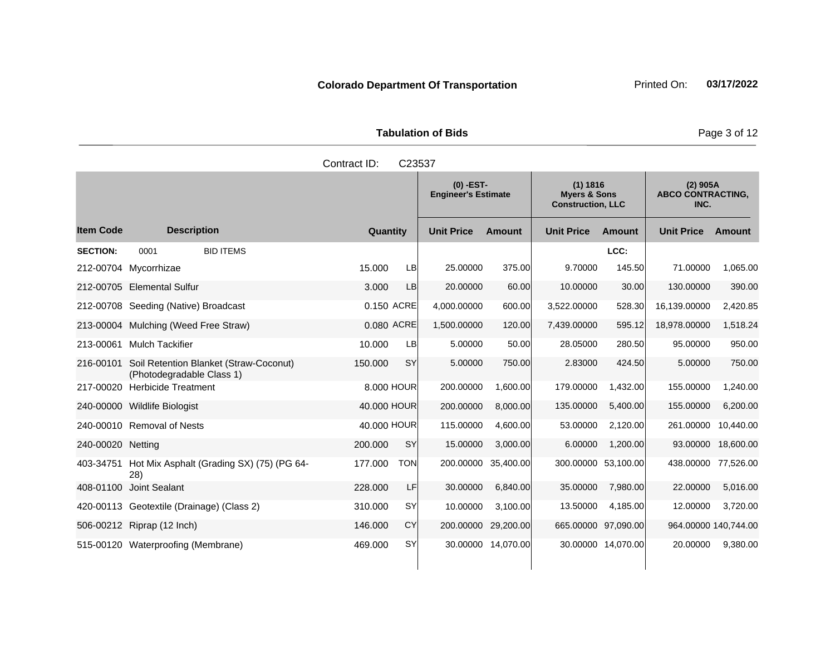**Tabulation of Bids** Page 3 of 12

|                  |                                                                     | Contract ID: | C23537                                    |                   |               |                                                                 |        |                                                |          |
|------------------|---------------------------------------------------------------------|--------------|-------------------------------------------|-------------------|---------------|-----------------------------------------------------------------|--------|------------------------------------------------|----------|
|                  |                                                                     |              | $(0)$ -EST-<br><b>Engineer's Estimate</b> |                   |               | (1) 1816<br><b>Myers &amp; Sons</b><br><b>Construction, LLC</b> |        | $(2)$ 905A<br><b>ABCO CONTRACTING,</b><br>INC. |          |
| <b>Item Code</b> | <b>Description</b>                                                  | Quantity     |                                           | <b>Unit Price</b> | <b>Amount</b> | <b>Unit Price</b>                                               | Amount | <b>Unit Price</b>                              | Amount   |
| <b>SECTION:</b>  | <b>BID ITEMS</b><br>0001                                            |              |                                           |                   |               |                                                                 | LCC:   |                                                |          |
|                  | 212-00704 Mycorrhizae                                               | 15.000       | LB                                        | 25.00000          | 375.00        | 9.70000                                                         | 145.50 | 71.00000                                       | 1,065.00 |
|                  | 212-00705 Elemental Sulfur                                          | 3.000        | LB                                        | 20.00000          | 60.00         | 10.00000                                                        | 30.00  | 130.00000                                      | 390.00   |
| 212-00708        | Seeding (Native) Broadcast                                          |              | 0.150 ACRE                                | 4,000.00000       | 600.00        | 3,522,00000                                                     | 528.30 | 16,139.00000                                   | 2,420.85 |
|                  | 213-00004 Mulching (Weed Free Straw)                                |              | 0.080 ACRE                                | 1,500.00000       | 120.00        | 7,439.00000                                                     | 595.12 | 18,978.00000                                   | 1,518.24 |
| 213-00061        | <b>Mulch Tackifier</b>                                              | 10.000       | LВ                                        | 5.00000           | 50.00         | 28.05000                                                        | 280.50 | 95.00000                                       | 950.00   |
| 216-00101        | Soil Retention Blanket (Straw-Coconut)<br>(Photodegradable Class 1) | 150,000      | <b>SY</b>                                 | 5.00000           | 750.00        | 2.83000                                                         | 424.50 | 5.00000                                        | 750.00   |

217-00020 Herbicide Treatment 8.000 HOUR 200.00000 1,600.00 179.00000 1,432.00 155.00000 1,240.00 240-00000 Wildlife Biologist 40.000 HOUR 200.00000 8,000.00 135.00000 5,400.00 155.00000 6,200.00 240-00010 Removal of Nests 40.000 HOUR 115.00000 4,600.00 53.00000 2,120.00 261.00000 10,440.00 240-00020 Netting 200.000 SY 15.00000 3,000.00 6.00000 1,200.00 93.00000 18,600.00

408-01100 Joint Sealant 228.000 LF 30.00000 6,840.00 35.00000 7,980.00 22.00000 5,016.00 420-00113 Geotextile (Drainage) (Class 2) 310.000 SY 10.00000 3,100.00 13.50000 4,185.00 12.00000 3,720.00 506-00212 Riprap (12 Inch) 146.000 CY 200.00000 29,200.00 665.00000 97,090.00 964.00000 140,744.00 515-00120 Waterproofing (Membrane) 469.000 SY 30.00000 14,070.00 30.00000 14,070.00 20.00000 9,380.00

177.000 TON 200.00000 35,400.00 300.00000 53,100.00 438.00000 77,526.00

403-34751 Hot Mix Asphalt (Grading SX) (75) (PG 64-

28)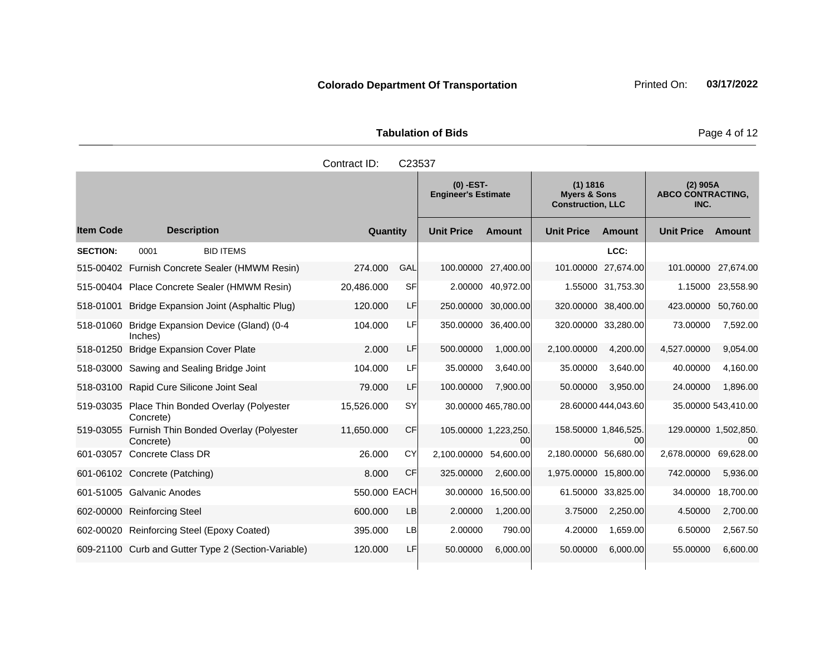Tabulation of Bids **Page 4 of 12** 

|                  |                                                             | Contract ID: | C23537    |                                           |                            |                                                                 |                            |                                                |                     |
|------------------|-------------------------------------------------------------|--------------|-----------|-------------------------------------------|----------------------------|-----------------------------------------------------------------|----------------------------|------------------------------------------------|---------------------|
|                  |                                                             |              |           | $(0)$ -EST-<br><b>Engineer's Estimate</b> |                            | (1) 1816<br><b>Myers &amp; Sons</b><br><b>Construction, LLC</b> |                            | $(2)$ 905A<br><b>ABCO CONTRACTING,</b><br>INC. |                     |
| <b>Item Code</b> | <b>Description</b>                                          | Quantity     |           | <b>Unit Price</b>                         | <b>Amount</b>              | <b>Unit Price</b>                                               | Amount                     | <b>Unit Price</b>                              | <b>Amount</b>       |
| <b>SECTION:</b>  | <b>BID ITEMS</b><br>0001                                    |              |           |                                           |                            |                                                                 | LCC:                       |                                                |                     |
|                  | 515-00402 Furnish Concrete Sealer (HMWM Resin)              | 274.000      | GAL       | 100.00000                                 | 27,400.00                  | 101.00000                                                       | 27,674.00                  | 101.00000                                      | 27,674.00           |
| 515-00404        | Place Concrete Sealer (HMWM Resin)                          | 20,486.000   | <b>SF</b> |                                           | 2.00000 40,972.00          |                                                                 | 1.55000 31.753.30          | 1.15000                                        | 23,558.90           |
| 518-01001        | Bridge Expansion Joint (Asphaltic Plug)                     | 120.000      | LF        | 250.00000                                 | 30,000.00                  | 320.00000                                                       | 38,400.00                  | 423.00000                                      | 50,760.00           |
| 518-01060        | Bridge Expansion Device (Gland) (0-4<br>Inches)             | 104.000      | LF        | 350.00000                                 | 36,400.00                  |                                                                 | 320.00000 33,280.00        | 73.00000                                       | 7,592.00            |
| 518-01250        | <b>Bridge Expansion Cover Plate</b>                         | 2.000        | LF        | 500.00000                                 | 1,000.00                   | 2,100.00000                                                     | 4,200.00                   | 4,527.00000                                    | 9,054.00            |
|                  | 518-03000 Sawing and Sealing Bridge Joint                   | 104.000      | LF        | 35.00000                                  | 3,640.00                   | 35.00000                                                        | 3,640.00                   | 40.00000                                       | 4,160.00            |
|                  | 518-03100 Rapid Cure Silicone Joint Seal                    | 79.000       | LF        | 100.00000                                 | 7,900.00                   | 50.00000                                                        | 3,950.00                   | 24.00000                                       | 1,896.00            |
|                  | 519-03035 Place Thin Bonded Overlay (Polyester<br>Concrete) | 15,526.000   | SY        |                                           | 30.00000 465,780.00        |                                                                 | 28.60000 444,043.60        |                                                | 35.00000 543,410.00 |
| 519-03055        | Furnish Thin Bonded Overlay (Polyester<br>Concrete)         | 11,650.000   | <b>CF</b> |                                           | 105.00000 1,223,250.<br>00 |                                                                 | 158.50000 1.846,525.<br>00 | 129.00000 1,502,850.                           | 00                  |
| 601-03057        | <b>Concrete Class DR</b>                                    | 26,000       | CY        | 2,100.00000                               | 54,600.00                  | 2,180.00000                                                     | 56,680.00                  | 2,678.00000                                    | 69,628.00           |
|                  | 601-06102 Concrete (Patching)                               | 8.000        | <b>CF</b> | 325.00000                                 | 2,600.00                   | 1,975.00000 15,800.00                                           |                            | 742.00000                                      | 5,936.00            |
|                  | 601-51005 Galvanic Anodes                                   | 550.000 EACH |           | 30.00000                                  | 16,500.00                  |                                                                 | 61.50000 33,825.00         | 34.00000                                       | 18,700.00           |
|                  | 602-00000 Reinforcing Steel                                 | 600.000      | LB        | 2.00000                                   | 1,200.00                   | 3.75000                                                         | 2,250.00                   | 4.50000                                        | 2,700.00            |
|                  | 602-00020 Reinforcing Steel (Epoxy Coated)                  | 395.000      | LB        | 2.00000                                   | 790.00                     | 4.20000                                                         | 1,659.00                   | 6.50000                                        | 2,567.50            |
|                  | 609-21100 Curb and Gutter Type 2 (Section-Variable)         | 120.000      | LF        | 50.00000                                  | 6,000.00                   | 50.00000                                                        | 6,000.00                   | 55.00000                                       | 6,600.00            |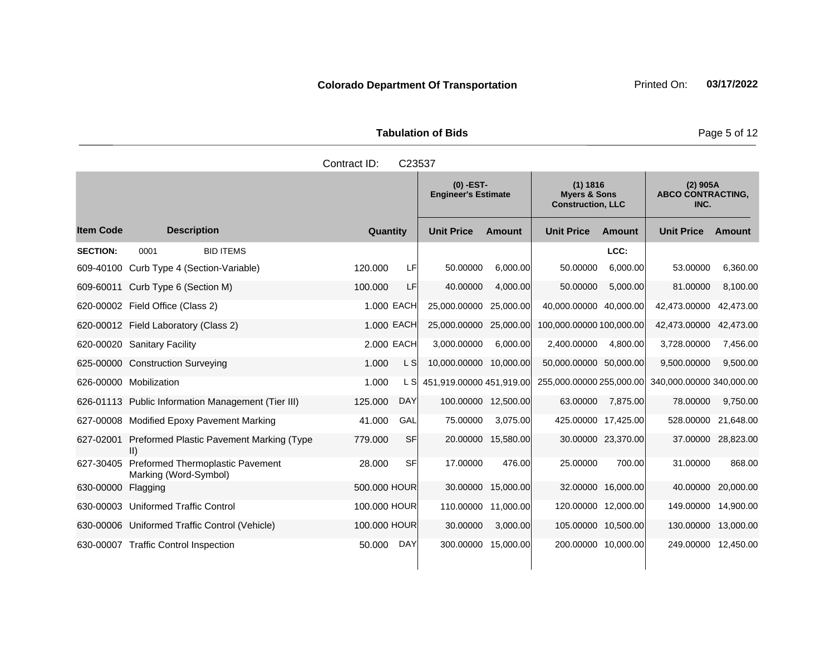|                     | <b>Tabulation of Bids</b> | Page 5 |
|---------------------|---------------------------|--------|
| Contract ID: C23537 |                           |        |
|                     |                           |        |

|                  |                                                           |              |            | $(0)$ -EST-<br><b>Engineer's Estimate</b> |           | (1) 1816<br><b>Myers &amp; Sons</b><br><b>Construction, LLC</b> |                    | $(2)$ 905A<br><b>ABCO CONTRACTING,</b><br>INC. |                     |
|------------------|-----------------------------------------------------------|--------------|------------|-------------------------------------------|-----------|-----------------------------------------------------------------|--------------------|------------------------------------------------|---------------------|
| <b>Item Code</b> | <b>Description</b>                                        | Quantity     |            | <b>Unit Price</b>                         | Amount    | <b>Unit Price</b>                                               | Amount             | <b>Unit Price</b>                              | Amount              |
| <b>SECTION:</b>  | <b>BID ITEMS</b><br>0001                                  |              |            |                                           |           |                                                                 | LCC:               |                                                |                     |
| 609-40100        | Curb Type 4 (Section-Variable)                            | 120.000      | LF         | 50.00000                                  | 6.000.00  | 50.00000                                                        | 6.000.00           | 53.00000                                       | 6,360.00            |
| 609-60011        | Curb Type 6 (Section M)                                   | 100.000      | LF         | 40.00000                                  | 4,000.00  | 50.00000                                                        | 5.000.00           | 81.00000                                       | 8,100.00            |
|                  | 620-00002 Field Office (Class 2)                          |              | 1.000 EACH | 25,000.00000                              | 25,000.00 | 40,000.00000                                                    | 40.000.00          | 42,473.00000                                   | 42,473.00           |
|                  | 620-00012 Field Laboratory (Class 2)                      |              | 1.000 EACH | 25,000.00000                              | 25,000.00 | 100,000.00000 100,000.00                                        |                    | 42,473.00000                                   | 42,473.00           |
|                  | 620-00020 Sanitary Facility                               |              | 2.000 EACH | 3,000.00000                               | 6,000.00  | 2,400.00000                                                     | 4,800.00           | 3,728.00000                                    | 7,456.00            |
|                  | 625-00000 Construction Surveying                          | 1.000        | L SI       | 10,000.00000                              | 10,000.00 | 50,000.00000 50,000.00                                          |                    | 9,500.00000                                    | 9,500.00            |
|                  | 626-00000 Mobilization                                    | 1.000        | L SI       | 451,919.00000 451,919.00                  |           | 255,000.00000 255,000.00                                        |                    | 340,000.00000 340,000.00                       |                     |
|                  | 626-01113 Public Information Management (Tier III)        | 125.000      | <b>DAY</b> | 100.00000                                 | 12,500.00 | 63.00000                                                        | 7,875.00           | 78.00000                                       | 9,750.00            |
|                  | 627-00008 Modified Epoxy Pavement Marking                 | 41.000       | GAL        | 75.00000                                  | 3,075.00  | 425.00000 17,425.00                                             |                    | 528.00000                                      | 21,648.00           |
| 627-02001        | Preformed Plastic Pavement Marking (Type<br>II)           | 779.000      | <b>SF</b>  | 20.00000                                  | 15,580.00 |                                                                 | 30.00000 23,370.00 | 37.00000                                       | 28,823.00           |
| 627-30405        | Preformed Thermoplastic Pavement<br>Marking (Word-Symbol) | 28,000       | <b>SF</b>  | 17.00000                                  | 476.00    | 25.00000                                                        | 700.00             | 31.00000                                       | 868.00              |
| 630-00000        | Flagging                                                  | 500.000 HOUR |            | 30.00000                                  | 15,000.00 |                                                                 | 32.00000 16,000.00 | 40.00000                                       | 20,000.00           |
|                  | 630-00003 Uniformed Traffic Control                       | 100,000 HOUR |            | 110.00000                                 | 11.000.00 | 120.00000 12,000.00                                             |                    | 149.00000                                      | 14,900.00           |
|                  | 630-00006 Uniformed Traffic Control (Vehicle)             | 100.000 HOUR |            | 30.00000                                  | 3,000.00  | 105.00000 10.500.00                                             |                    | 130.00000                                      | 13,000.00           |
|                  | 630-00007 Traffic Control Inspection                      | 50.000       | DAY        | 300.00000                                 | 15,000.00 | 200.00000 10,000.00                                             |                    |                                                | 249.00000 12,450.00 |

**Page 5 of 12**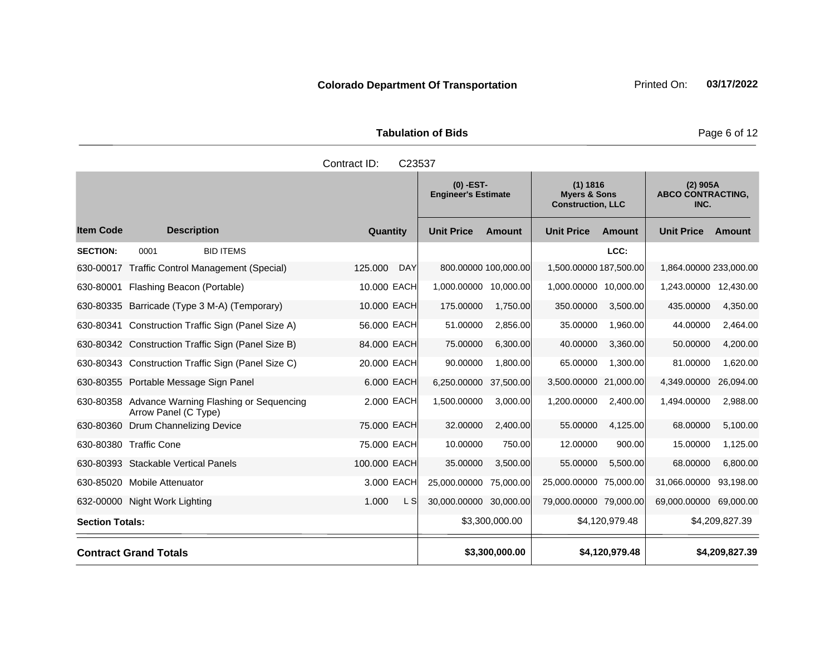Tabulation of Bids **Page 6 of 12** 

|                        |                                                                          | Contract ID:<br>C23537  |                                                                                                              |                      |                        |                                                |                        |                |
|------------------------|--------------------------------------------------------------------------|-------------------------|--------------------------------------------------------------------------------------------------------------|----------------------|------------------------|------------------------------------------------|------------------------|----------------|
|                        |                                                                          |                         | $(0)$ -EST-<br>(1) 1816<br><b>Myers &amp; Sons</b><br><b>Engineer's Estimate</b><br><b>Construction, LLC</b> |                      |                        | $(2)$ 905A<br><b>ABCO CONTRACTING,</b><br>INC. |                        |                |
| <b>Item Code</b>       | <b>Description</b>                                                       | Quantity                | <b>Unit Price</b>                                                                                            | <b>Amount</b>        | <b>Unit Price</b>      | <b>Amount</b>                                  | <b>Unit Price</b>      | Amount         |
| <b>SECTION:</b>        | <b>BID ITEMS</b><br>0001                                                 |                         |                                                                                                              |                      |                        | LCC:                                           |                        |                |
| 630-00017              | <b>Traffic Control Management (Special)</b>                              | 125.000<br><b>DAY</b>   |                                                                                                              | 800.00000 100,000.00 | 1,500.00000 187,500.00 |                                                | 1,864.00000 233,000.00 |                |
| 630-80001              | Flashing Beacon (Portable)                                               | 10.000 EACH             | 1,000.00000 10,000.00                                                                                        |                      | 1,000.00000 10,000.00  |                                                | 1,243.00000            | 12,430.00      |
|                        | 630-80335 Barricade (Type 3 M-A) (Temporary)                             | 10.000 EACH             | 175.00000                                                                                                    | 1,750.00             | 350.00000              | 3,500.00                                       | 435.00000              | 4,350.00       |
| 630-80341              | Construction Traffic Sign (Panel Size A)                                 | 56.000 EACH             | 51.00000                                                                                                     | 2,856.00             | 35.00000               | 1,960.00                                       | 44.00000               | 2,464.00       |
|                        | 630-80342 Construction Traffic Sign (Panel Size B)                       | 84.000 EACH             | 75.00000                                                                                                     | 6,300.00             | 40.00000               | 3,360.00                                       | 50.00000               | 4,200.00       |
|                        | 630-80343 Construction Traffic Sign (Panel Size C)                       | 20,000 EACH             | 90.00000                                                                                                     | 1,800.00             | 65.00000               | 1,300.00                                       | 81.00000               | 1,620.00       |
|                        | 630-80355 Portable Message Sign Panel                                    | 6,000 EACH              | 6,250.00000                                                                                                  | 37,500.00            | 3,500.00000            | 21,000.00                                      | 4,349.00000            | 26,094.00      |
|                        | 630-80358 Advance Warning Flashing or Sequencing<br>Arrow Panel (C Type) | 2.000 EACH              | 1,500.00000                                                                                                  | 3,000.00             | 1,200.00000            | 2.400.00                                       | 1,494.00000            | 2,988.00       |
|                        | 630-80360 Drum Channelizing Device                                       | 75.000 EACH             | 32.00000                                                                                                     | 2,400.00             | 55.00000               | 4,125.00                                       | 68.00000               | 5,100.00       |
|                        | 630-80380 Traffic Cone                                                   | 75,000 EACH             | 10.00000                                                                                                     | 750.00               | 12.00000               | 900.00                                         | 15.00000               | 1,125.00       |
|                        | 630-80393 Stackable Vertical Panels                                      | 100.000 EACH            | 35.00000                                                                                                     | 3,500.00             | 55.00000               | 5,500.00                                       | 68.00000               | 6,800.00       |
|                        | 630-85020 Mobile Attenuator                                              | 3.000 EACH              | 25,000.00000                                                                                                 | 75,000.00            | 25,000.00000 75,000.00 |                                                | 31,066.00000           | 93,198.00      |
|                        | 632-00000 Night Work Lighting                                            | 1.000<br>L <sub>S</sub> | 30,000.00000                                                                                                 | 30,000.00            | 79,000.00000 79,000.00 |                                                | 69,000.00000           | 69,000.00      |
| <b>Section Totals:</b> |                                                                          |                         |                                                                                                              | \$3,300,000.00       |                        | \$4,120,979.48                                 |                        | \$4,209,827.39 |
|                        | <b>Contract Grand Totals</b>                                             |                         |                                                                                                              | \$3,300,000.00       |                        | \$4,120,979.48                                 |                        | \$4,209,827.39 |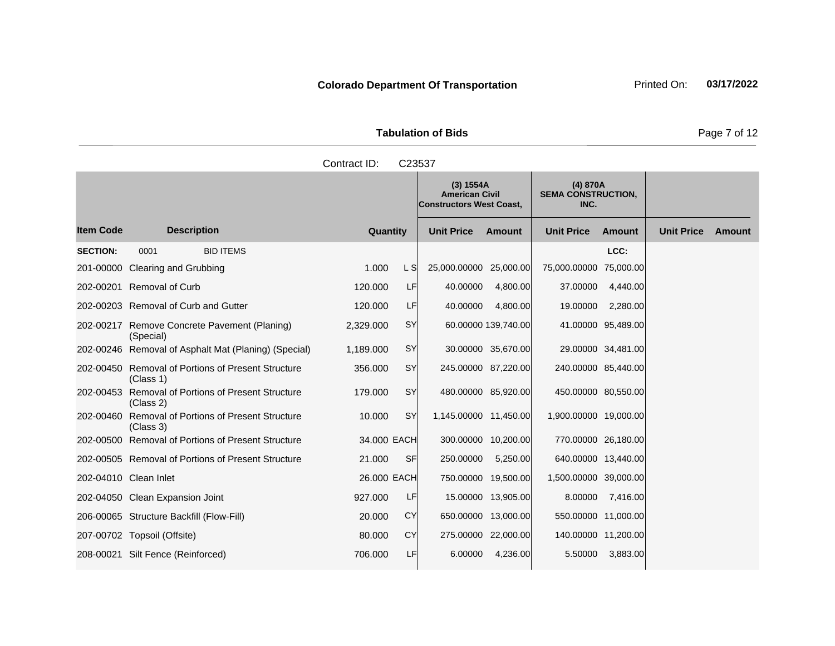| <b>Tabulation of Bids</b> |  |  |  |  |  |  |  |
|---------------------------|--|--|--|--|--|--|--|
| Contract ID: C23537       |  |  |  |  |  |  |  |
|                           |  |  |  |  |  |  |  |

and the control of the control of the

|                       |                                                                 |             |           | (3) 1554A<br><b>American Civil</b><br><b>Constructors West Coast,</b> |                     | (4) 870A<br><b>SEMA CONSTRUCTION,</b><br>INC. |                    |                   |        |
|-----------------------|-----------------------------------------------------------------|-------------|-----------|-----------------------------------------------------------------------|---------------------|-----------------------------------------------|--------------------|-------------------|--------|
| <b>Item Code</b>      | <b>Description</b>                                              | Quantity    |           | <b>Unit Price</b>                                                     | Amount              | <b>Unit Price</b>                             | <b>Amount</b>      | <b>Unit Price</b> | Amount |
| <b>SECTION:</b>       | <b>BID ITEMS</b><br>0001                                        |             |           |                                                                       |                     |                                               | LCC:               |                   |        |
|                       | 201-00000 Clearing and Grubbing                                 | 1.000       | L S       | 25,000.00000 25,000.00                                                |                     | 75,000.00000 75,000.00                        |                    |                   |        |
|                       | 202-00201 Removal of Curb                                       | 120.000     | LF        | 40.00000                                                              | 4,800.00            | 37.00000                                      | 4,440.00           |                   |        |
|                       | 202-00203 Removal of Curb and Gutter                            | 120.000     | LF        | 40.00000                                                              | 4,800.00            | 19.00000                                      | 2,280.00           |                   |        |
|                       | 202-00217 Remove Concrete Pavement (Planing)<br>(Special)       | 2,329.000   | SY        |                                                                       | 60.00000 139,740.00 |                                               | 41.00000 95,489.00 |                   |        |
|                       | 202-00246 Removal of Asphalt Mat (Planing) (Special)            | 1,189.000   | <b>SY</b> |                                                                       | 30.00000 35,670.00  |                                               | 29.00000 34,481.00 |                   |        |
|                       | 202-00450 Removal of Portions of Present Structure<br>(Class 1) | 356.000     | SY        |                                                                       | 245.00000 87,220.00 | 240.00000 85,440.00                           |                    |                   |        |
|                       | 202-00453 Removal of Portions of Present Structure<br>(Class 2) | 179,000     | SY        |                                                                       | 480.00000 85,920.00 | 450.00000 80,550.00                           |                    |                   |        |
|                       | 202-00460 Removal of Portions of Present Structure<br>(Class 3) | 10.000      | SY        | 1,145.00000 11,450.00                                                 |                     | 1,900.00000 19,000.00                         |                    |                   |        |
|                       | 202-00500 Removal of Portions of Present Structure              | 34.000 EACH |           |                                                                       | 300.00000 10,200.00 | 770.00000 26,180.00                           |                    |                   |        |
|                       | 202-00505 Removal of Portions of Present Structure              | 21.000      | <b>SF</b> | 250.00000                                                             | 5,250.00            | 640.00000 13,440.00                           |                    |                   |        |
| 202-04010 Clean Inlet |                                                                 | 26.000 EACH |           |                                                                       | 750.00000 19,500.00 | 1,500.00000 39,000.00                         |                    |                   |        |
|                       | 202-04050 Clean Expansion Joint                                 | 927.000     | <b>LF</b> |                                                                       | 15.00000 13,905.00  | 8.00000                                       | 7,416.00           |                   |        |
|                       | 206-00065 Structure Backfill (Flow-Fill)                        | 20.000      | <b>CY</b> |                                                                       | 650.00000 13,000.00 | 550.00000 11,000.00                           |                    |                   |        |
|                       | 207-00702 Topsoil (Offsite)                                     | 80.000      | CY        |                                                                       | 275.00000 22,000.00 | 140.00000 11,200.00                           |                    |                   |        |
|                       | 208-00021 Silt Fence (Reinforced)                               | 706.000     | LF        | 6.00000                                                               | 4,236.00            | 5.50000                                       | 3,883.00           |                   |        |

**The Common** 

**Page 7 of 12**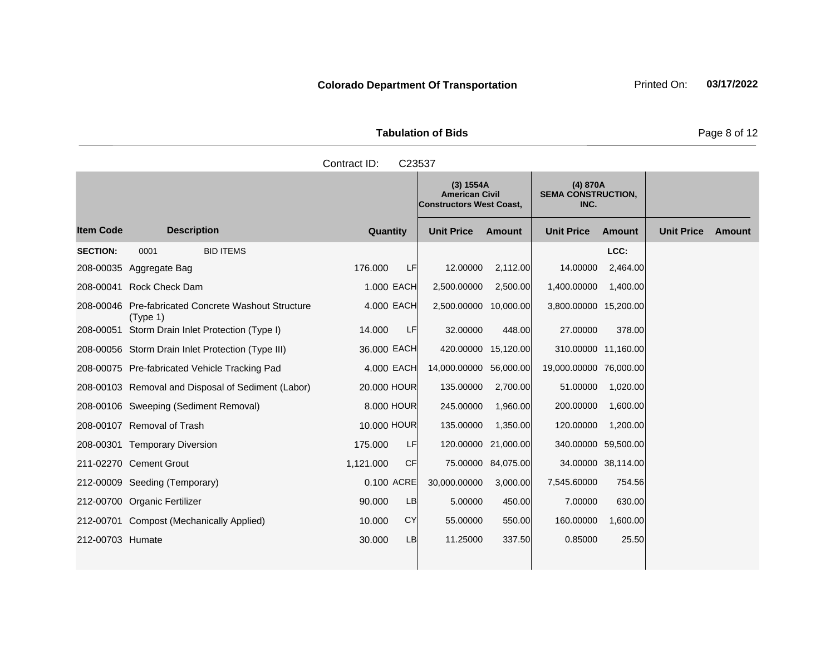| <b>Tabulation of Bids</b> |             |                                                                               |  |  |  |  |  |  |
|---------------------------|-------------|-------------------------------------------------------------------------------|--|--|--|--|--|--|
| Contract ID: C23537       |             |                                                                               |  |  |  |  |  |  |
|                           | $(0)$ $(0)$ | $\mathbf{1}$ $\mathbf{1}$ $\mathbf{2}$ $\mathbf{3}$ $\mathbf{3}$ $\mathbf{4}$ |  |  |  |  |  |  |

|                  |                                                                 |             |           | (3) 1554A<br><b>American Civil</b><br><b>Constructors West Coast,</b> |                     | (4) 870A<br><b>SEMA CONSTRUCTION,</b><br>INC. |               |                   |        |
|------------------|-----------------------------------------------------------------|-------------|-----------|-----------------------------------------------------------------------|---------------------|-----------------------------------------------|---------------|-------------------|--------|
| <b>Item Code</b> | <b>Description</b>                                              | Quantity    |           | <b>Unit Price</b>                                                     | Amount              | <b>Unit Price</b>                             | <b>Amount</b> | <b>Unit Price</b> | Amount |
| <b>SECTION:</b>  | 0001<br><b>BID ITEMS</b>                                        |             |           |                                                                       |                     |                                               | LCC:          |                   |        |
|                  | 208-00035 Aggregate Bag                                         | 176.000     | <b>LF</b> | 12.00000                                                              | 2,112.00            | 14.00000                                      | 2,464.00      |                   |        |
|                  | 208-00041 Rock Check Dam                                        | 1.000 EACH  |           | 2,500.00000                                                           | 2,500.00            | 1,400.00000                                   | 1,400.00      |                   |        |
|                  | 208-00046 Pre-fabricated Concrete Washout Structure<br>(Type 1) | 4.000 EACH  |           | 2,500.00000 10,000.00                                                 |                     | 3,800.00000                                   | 15,200.00     |                   |        |
|                  | 208-00051 Storm Drain Inlet Protection (Type I)                 | 14.000      | LF        | 32.00000                                                              | 448.00              | 27.00000                                      | 378.00        |                   |        |
|                  | 208-00056 Storm Drain Inlet Protection (Type III)               | 36.000 EACH |           |                                                                       | 420.00000 15,120.00 | 310.00000                                     | 11,160.00     |                   |        |
|                  | 208-00075 Pre-fabricated Vehicle Tracking Pad                   | 4.000 EACH  |           | 14,000.00000 56,000.00                                                |                     | 19,000.00000                                  | 76,000.00     |                   |        |
|                  | 208-00103 Removal and Disposal of Sediment (Labor)              | 20.000 HOUR |           | 135.00000                                                             | 2,700.00            | 51.00000                                      | 1,020.00      |                   |        |
|                  | 208-00106 Sweeping (Sediment Removal)                           | 8,000 HOUR  |           | 245.00000                                                             | 1,960.00            | 200.00000                                     | 1,600.00      |                   |        |
|                  | 208-00107 Removal of Trash                                      | 10,000 HOUR |           | 135.00000                                                             | 1,350.00            | 120.00000                                     | 1,200.00      |                   |        |
|                  | 208-00301 Temporary Diversion                                   | 175,000     | LFI       |                                                                       | 120.00000 21,000.00 | 340.00000                                     | 59,500.00     |                   |        |
|                  | 211-02270 Cement Grout                                          | 1,121.000   | <b>CF</b> |                                                                       | 75.00000 84,075.00  | 34.00000                                      | 38,114.00     |                   |        |
|                  | 212-00009 Seeding (Temporary)                                   | 0.100 ACRE  |           | 30,000.00000                                                          | 3,000.00            | 7,545.60000                                   | 754.56        |                   |        |
|                  | 212-00700 Organic Fertilizer                                    | 90.000      | <b>LB</b> | 5.00000                                                               | 450.00              | 7.00000                                       | 630.00        |                   |        |
|                  | 212-00701 Compost (Mechanically Applied)                        | 10.000      | CY        | 55.00000                                                              | 550.00              | 160.00000                                     | 1,600.00      |                   |        |
| 212-00703 Humate |                                                                 | 30.000      | <b>LB</b> | 11.25000                                                              | 337.50              | 0.85000                                       | 25.50         |                   |        |
|                  |                                                                 |             |           |                                                                       |                     |                                               |               |                   |        |

**Page 8 of 12**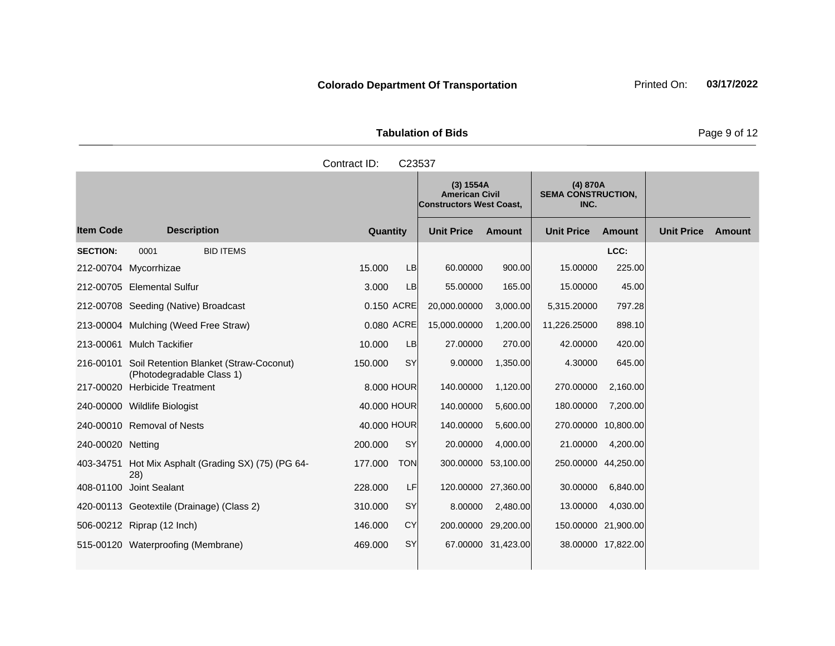| <b>Tabulation of Bids</b> | Page 9 of 12                                                          |                                               |  |
|---------------------------|-----------------------------------------------------------------------|-----------------------------------------------|--|
| Contract ID:              | C <sub>23537</sub>                                                    |                                               |  |
|                           | (3) 1554A<br><b>American Civil</b><br><b>Constructors West Coast,</b> | (4) 870A<br><b>SEMA CONSTRUCTION,</b><br>INC. |  |

|                   |                                                                               |             |            |                   | $\mathbf{v}$ $\mathbf{v}$<br><b>American Civil</b><br><b>Constructors West Coast,</b> | $(7)$ or one<br><b>SEMA CONSTRUCTION,</b><br>INC. |                     |                   |               |
|-------------------|-------------------------------------------------------------------------------|-------------|------------|-------------------|---------------------------------------------------------------------------------------|---------------------------------------------------|---------------------|-------------------|---------------|
| <b>Item Code</b>  | <b>Description</b>                                                            | Quantity    |            | <b>Unit Price</b> | <b>Amount</b>                                                                         | <b>Unit Price</b>                                 | <b>Amount</b>       | <b>Unit Price</b> | <b>Amount</b> |
| <b>SECTION:</b>   | <b>BID ITEMS</b><br>0001                                                      |             |            |                   |                                                                                       |                                                   | LCC:                |                   |               |
|                   | 212-00704 Mycorrhizae                                                         | 15.000      | <b>LB</b>  | 60.00000          | 900.00                                                                                | 15.00000                                          | 225.00              |                   |               |
|                   | 212-00705 Elemental Sulfur                                                    | 3.000       | LB         | 55.00000          | 165.00                                                                                | 15.00000                                          | 45.00               |                   |               |
|                   | 212-00708 Seeding (Native) Broadcast                                          | 0.150 ACRE  |            | 20,000.00000      | 3,000.00                                                                              | 5,315.20000                                       | 797.28              |                   |               |
|                   | 213-00004 Mulching (Weed Free Straw)                                          | 0.080 ACRE  |            | 15,000.00000      | 1,200.00                                                                              | 11,226.25000                                      | 898.10              |                   |               |
|                   | 213-00061 Mulch Tackifier                                                     | 10.000      | LB         | 27.00000          | 270.00                                                                                | 42.00000                                          | 420.00              |                   |               |
|                   | 216-00101 Soil Retention Blanket (Straw-Coconut)<br>(Photodegradable Class 1) | 150.000     | <b>SY</b>  | 9.00000           | 1,350.00                                                                              | 4.30000                                           | 645.00              |                   |               |
|                   | 217-00020 Herbicide Treatment                                                 | 8.000 HOUR  |            | 140.00000         | 1,120.00                                                                              | 270.00000                                         | 2,160.00            |                   |               |
|                   | 240-00000 Wildlife Biologist                                                  | 40,000 HOUR |            | 140.00000         | 5,600.00                                                                              | 180.00000                                         | 7,200.00            |                   |               |
|                   | 240-00010 Removal of Nests                                                    | 40,000 HOUR |            | 140.00000         | 5,600.00                                                                              | 270.00000                                         | 10,800.00           |                   |               |
| 240-00020 Netting |                                                                               | 200,000     | SY         | 20.00000          | 4,000.00                                                                              | 21.00000                                          | 4,200.00            |                   |               |
|                   | 403-34751 Hot Mix Asphalt (Grading SX) (75) (PG 64-<br>28)                    | 177.000     | <b>TON</b> |                   | 300.00000 53,100.00                                                                   |                                                   | 250.00000 44,250.00 |                   |               |
|                   | 408-01100 Joint Sealant                                                       | 228.000     | LF         |                   | 120.00000 27,360.00                                                                   | 30.00000                                          | 6,840.00            |                   |               |
|                   | 420-00113 Geotextile (Drainage) (Class 2)                                     | 310.000     | SY         | 8.00000           | 2,480.00                                                                              | 13.00000                                          | 4,030.00            |                   |               |
|                   | 506-00212 Riprap (12 Inch)                                                    | 146.000     | <b>CY</b>  |                   | 200.00000 29,200.00                                                                   |                                                   | 150.00000 21,900.00 |                   |               |
|                   | 515-00120 Waterproofing (Membrane)                                            | 469.000     | SY         |                   | 67.00000 31,423.00                                                                    |                                                   | 38.00000 17,822.00  |                   |               |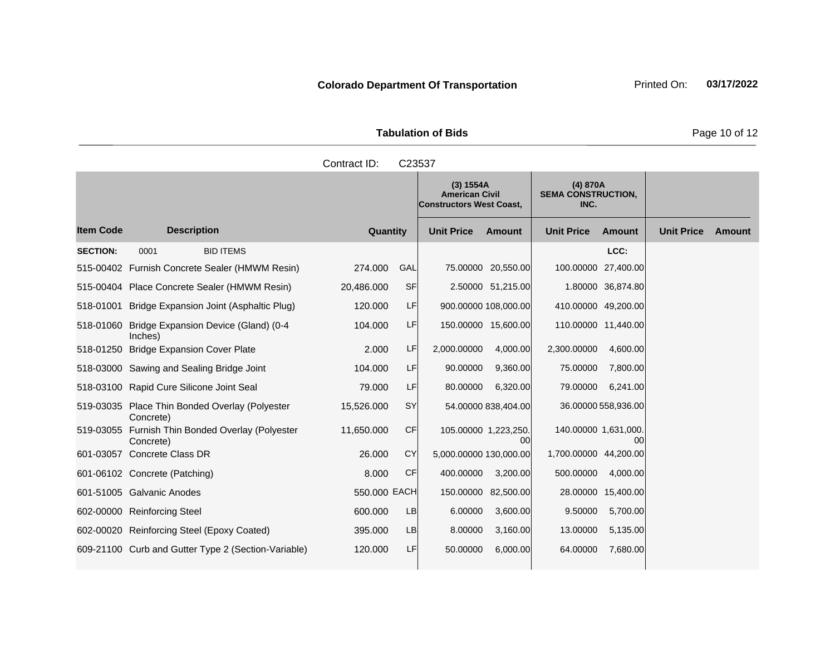**Tabulation of Bids** Page 10 of 12

|                  | Contract ID:<br>C <sub>23537</sub>                        |                 |           |                                                                       |                      |                                               |                   |                   |        |
|------------------|-----------------------------------------------------------|-----------------|-----------|-----------------------------------------------------------------------|----------------------|-----------------------------------------------|-------------------|-------------------|--------|
|                  |                                                           |                 |           | (3) 1554A<br><b>American Civil</b><br><b>Constructors West Coast,</b> |                      | (4) 870A<br><b>SEMA CONSTRUCTION,</b><br>INC. |                   |                   |        |
| <b>Item Code</b> | <b>Description</b>                                        | <b>Quantity</b> |           | <b>Unit Price</b>                                                     | <b>Amount</b>        | <b>Unit Price</b>                             | Amount            | <b>Unit Price</b> | Amount |
| <b>SECTION:</b>  | 0001<br><b>BID ITEMS</b>                                  |                 |           |                                                                       |                      |                                               | LCC:              |                   |        |
|                  | 515-00402 Furnish Concrete Sealer (HMWM Resin)            | 274.000         | GAL       |                                                                       | 75.00000 20,550.00   | 100.00000 27,400.00                           |                   |                   |        |
|                  | 515-00404 Place Concrete Sealer (HMWM Resin)              | 20,486.000      | <b>SF</b> |                                                                       | 2.50000 51,215.00    |                                               | 1.80000 36,874.80 |                   |        |
| 518-01001        | Bridge Expansion Joint (Asphaltic Plug)                   | 120,000         | LF        |                                                                       | 900.00000 108,000.00 | 410.00000 49,200.00                           |                   |                   |        |
|                  | 518-01060 Bridge Expansion Device (Gland) (0-4<br>Inches) | 104.000         | LF        |                                                                       | 150.00000 15.600.00  | 110.00000 11.440.00                           |                   |                   |        |

|           | 518-01250 Bridge Expansion Cover Plate                        | 2.000        | LF        | 2,000.00000            | 4,000.00            | 2.300.00000          | 4,600.00            |
|-----------|---------------------------------------------------------------|--------------|-----------|------------------------|---------------------|----------------------|---------------------|
|           | 518-03000 Sawing and Sealing Bridge Joint                     | 104.000      | LF        | 90,00000               | 9,360.00            | 75,00000             | 7,800.00            |
|           | 518-03100 Rapid Cure Silicone Joint Seal                      | 79,000       | LF        | 80.00000               | 6,320.00            | 79,00000             | 6,241.00            |
|           | 519-03035 Place Thin Bonded Overlay (Polyester<br>Concrete)   | 15,526.000   | <b>SY</b> |                        | 54.00000 838,404.00 |                      | 36.00000 558,936.00 |
|           | 519-03055 Furnish Thin Bonded Overlay (Polyester<br>Concrete) | 11,650.000   | <b>CF</b> | 105.00000 1,223,250.   | 00                  | 140.00000 1,631,000. | 00                  |
| 601-03057 | Concrete Class DR                                             | 26,000       | <b>CY</b> | 5,000.00000 130,000.00 |                     | 1.700.00000          | 44,200.00           |
|           | 601-06102 Concrete (Patching)                                 | 8.000        | <b>CF</b> | 400.00000              | 3,200.00            | 500,00000            | 4,000.00            |
|           | 601-51005 Galvanic Anodes                                     | 550,000 EACH |           | 150,00000              | 82,500.00           | 28,00000             | 15,400.00           |
| 602-00000 | <b>Reinforcing Steel</b>                                      | 600,000      | LB        | 6.00000                | 3,600.00            | 9.50000              | 5,700.00            |
|           | 602-00020 Reinforcing Steel (Epoxy Coated)                    | 395,000      | LB        | 8.00000                | 3,160.00            | 13.00000             | 5,135.00            |
|           |                                                               |              |           |                        |                     |                      |                     |

609-21100 Curb and Gutter Type 2 (Section-Variable)  $120.000$  LF 50.00000 6,000.00 64.00000 7,680.00

519-03035

519-03055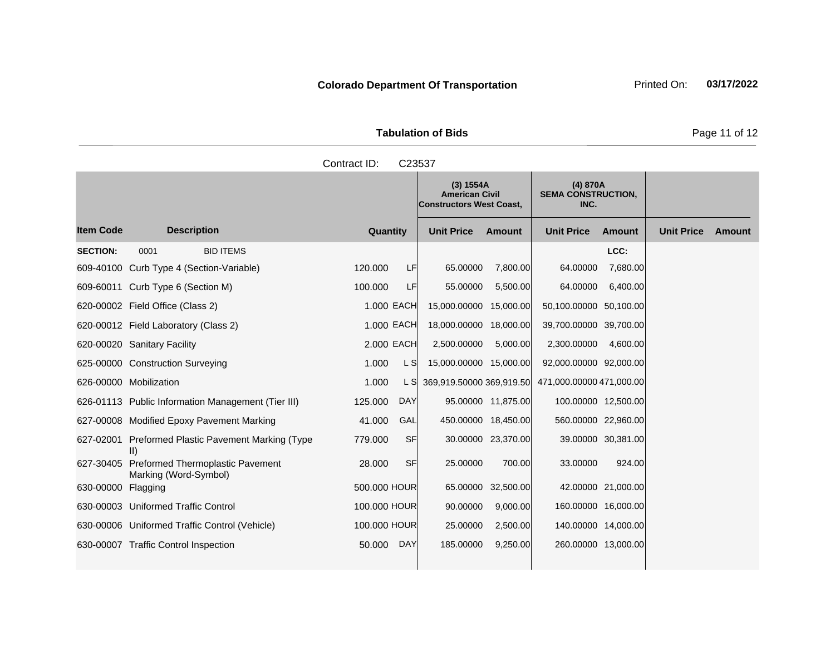|                     | <b>Tabulation of Bids</b> |
|---------------------|---------------------------|
| Contract ID: C23537 |                           |

|                    |                                                                     |              |            | (3) 1554A<br><b>American Civil</b><br><b>Constructors West Coast.</b> |                    | (4) 870A<br><b>SEMA CONSTRUCTION,</b><br>INC. |                    |                   |        |
|--------------------|---------------------------------------------------------------------|--------------|------------|-----------------------------------------------------------------------|--------------------|-----------------------------------------------|--------------------|-------------------|--------|
| <b>Item Code</b>   | <b>Description</b>                                                  | Quantity     |            | <b>Unit Price</b>                                                     | Amount             | <b>Unit Price</b>                             | Amount             | <b>Unit Price</b> | Amount |
| <b>SECTION:</b>    | 0001<br><b>BID ITEMS</b>                                            |              |            |                                                                       |                    |                                               | LCC:               |                   |        |
|                    | 609-40100 Curb Type 4 (Section-Variable)                            | 120,000      | LF         | 65.00000                                                              | 7,800.00           | 64.00000                                      | 7,680.00           |                   |        |
|                    | 609-60011 Curb Type 6 (Section M)                                   | 100.000      | LF         | 55.00000                                                              | 5,500.00           | 64.00000                                      | 6,400.00           |                   |        |
|                    | 620-00002 Field Office (Class 2)                                    |              | 1.000 EACH | 15,000.00000 15,000.00                                                |                    | 50,100.00000 50,100.00                        |                    |                   |        |
|                    | 620-00012 Field Laboratory (Class 2)                                |              | 1.000 EACH | 18,000.00000 18,000.00                                                |                    | 39,700.00000 39,700.00                        |                    |                   |        |
|                    | 620-00020 Sanitary Facility                                         |              | 2.000 EACH | 2,500.00000                                                           | 5.000.00           | 2,300.00000                                   | 4,600.00           |                   |        |
|                    | 625-00000 Construction Surveying                                    | 1.000        | L SI       | 15,000.00000 15,000.00                                                |                    | 92,000.00000 92,000.00                        |                    |                   |        |
|                    | 626-00000 Mobilization                                              | 1.000        | L SI       | 369,919.50000 369,919.50                                              |                    | 471,000.00000 471,000.00                      |                    |                   |        |
|                    | 626-01113 Public Information Management (Tier III)                  | 125.000      | <b>DAY</b> |                                                                       | 95.00000 11,875.00 | 100.00000 12,500.00                           |                    |                   |        |
|                    | 627-00008 Modified Epoxy Pavement Marking                           | 41.000       | GAL        | 450.00000 18,450.00                                                   |                    | 560.00000 22,960.00                           |                    |                   |        |
|                    | 627-02001 Preformed Plastic Pavement Marking (Type<br>$\parallel$   | 779.000      | <b>SF</b>  |                                                                       | 30.00000 23,370.00 |                                               | 39.00000 30,381.00 |                   |        |
|                    | 627-30405 Preformed Thermoplastic Pavement<br>Marking (Word-Symbol) | 28.000       | <b>SF</b>  | 25.00000                                                              | 700.00             | 33.00000                                      | 924.00             |                   |        |
| 630-00000 Flagging |                                                                     | 500.000 HOUR |            |                                                                       | 65.00000 32,500.00 |                                               | 42.00000 21,000.00 |                   |        |
|                    | 630-00003 Uniformed Traffic Control                                 | 100.000 HOUR |            | 90.00000                                                              | 9,000.00           | 160.00000 16,000.00                           |                    |                   |        |
|                    | 630-00006 Uniformed Traffic Control (Vehicle)                       | 100.000 HOUR |            | 25.00000                                                              | 2,500.00           | 140.00000 14,000.00                           |                    |                   |        |
|                    | 630-00007 Traffic Control Inspection                                | 50.000       | <b>DAY</b> | 185.00000                                                             | 9,250.00           | 260.00000 13,000.00                           |                    |                   |        |

Page 11 of 12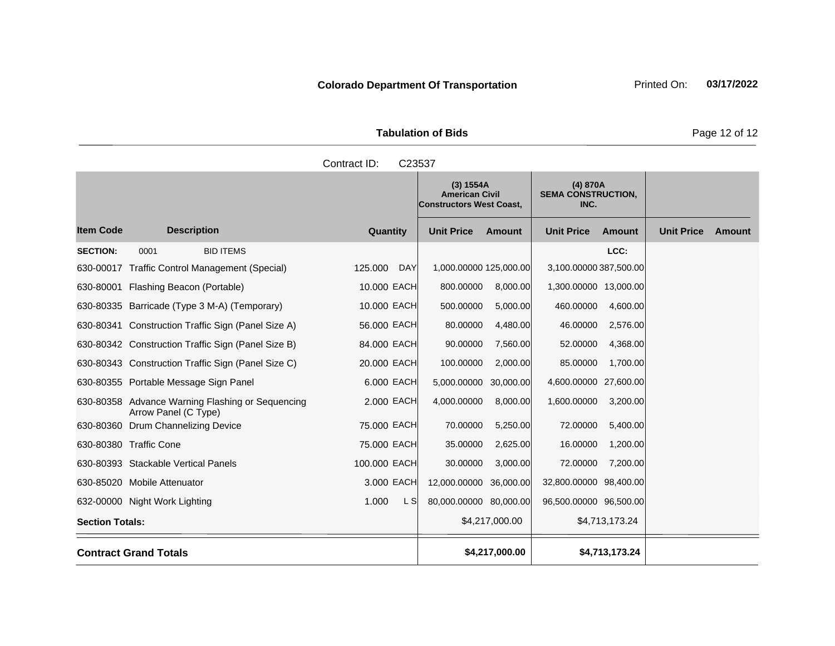| <b>Tabulation of Bids</b> | Page 12 of 12                                                         |                                               |  |
|---------------------------|-----------------------------------------------------------------------|-----------------------------------------------|--|
| Contract ID:<br>C23537    |                                                                       |                                               |  |
|                           | (3) 1554A<br><b>American Civil</b><br><b>Constructors West Coast,</b> | (4) 870A<br><b>SEMA CONSTRUCTION,</b><br>INC. |  |

|                        |                                                                          |              |     | $\mathbf{v}$ $\mathbf{v}$<br><b>American Civil</b><br><b>Constructors West Coast,</b> |                | $(7)$ or one<br><b>SEMA CONSTRUCTION,</b><br>INC. |                |                   |        |
|------------------------|--------------------------------------------------------------------------|--------------|-----|---------------------------------------------------------------------------------------|----------------|---------------------------------------------------|----------------|-------------------|--------|
| <b>Item Code</b>       | <b>Description</b>                                                       | Quantity     |     | <b>Unit Price</b>                                                                     | Amount         | <b>Unit Price</b>                                 | <b>Amount</b>  | <b>Unit Price</b> | Amount |
| <b>SECTION:</b>        | <b>BID ITEMS</b><br>0001                                                 |              |     |                                                                                       |                |                                                   | LCC:           |                   |        |
|                        | 630-00017 Traffic Control Management (Special)                           | 125.000      | DAY | 1,000.00000 125,000.00                                                                |                | 3,100.00000 387,500.00                            |                |                   |        |
|                        | 630-80001 Flashing Beacon (Portable)                                     | 10.000 EACH  |     | 800.00000                                                                             | 8,000.00       | 1,300.00000 13,000.00                             |                |                   |        |
|                        | 630-80335 Barricade (Type 3 M-A) (Temporary)                             | 10.000 EACH  |     | 500.00000                                                                             | 5,000.00       | 460.00000                                         | 4,600.00       |                   |        |
|                        | 630-80341 Construction Traffic Sign (Panel Size A)                       | 56.000 EACH  |     | 80.00000                                                                              | 4,480.00       | 46.00000                                          | 2,576.00       |                   |        |
|                        | 630-80342 Construction Traffic Sign (Panel Size B)                       | 84.000 EACH  |     | 90.00000                                                                              | 7,560.00       | 52.00000                                          | 4,368.00       |                   |        |
|                        | 630-80343 Construction Traffic Sign (Panel Size C)                       | 20.000 EACH  |     | 100.00000                                                                             | 2,000.00       | 85.00000                                          | 1,700.00       |                   |        |
|                        | 630-80355 Portable Message Sign Panel                                    | 6,000 EACH   |     | 5,000.00000                                                                           | 30,000.00      | 4,600.00000 27,600.00                             |                |                   |        |
|                        | 630-80358 Advance Warning Flashing or Sequencing<br>Arrow Panel (C Type) | 2,000 EACH   |     | 4,000.00000                                                                           | 8,000.00       | 1,600.00000                                       | 3,200.00       |                   |        |
|                        | 630-80360 Drum Channelizing Device                                       | 75.000 EACH  |     | 70.00000                                                                              | 5,250.00       | 72.00000                                          | 5,400.00       |                   |        |
|                        | 630-80380 Traffic Cone                                                   | 75.000 EACH  |     | 35.00000                                                                              | 2,625.00       | 16.00000                                          | 1,200.00       |                   |        |
|                        | 630-80393 Stackable Vertical Panels                                      | 100.000 EACH |     | 30.00000                                                                              | 3,000.00       | 72.00000                                          | 7,200.00       |                   |        |
|                        | 630-85020 Mobile Attenuator                                              | 3,000 EACH   |     | 12,000.00000 36,000.00                                                                |                | 32,800.00000 98,400.00                            |                |                   |        |
|                        | 632-00000 Night Work Lighting                                            | 1.000        | L S | 80,000.00000 80,000.00                                                                |                | 96,500.00000 96,500.00                            |                |                   |        |
| <b>Section Totals:</b> |                                                                          |              |     |                                                                                       | \$4,217,000.00 |                                                   | \$4,713,173.24 |                   |        |
|                        | <b>Contract Grand Totals</b>                                             |              |     |                                                                                       | \$4,217,000.00 |                                                   | \$4,713,173.24 |                   |        |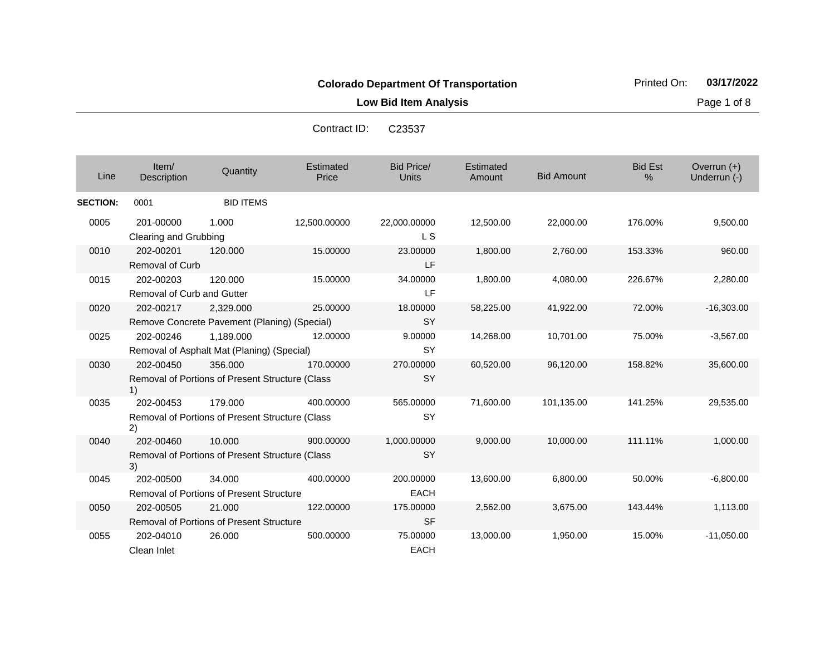**Low Bid Item Analysis Page 1 of 8** 

| Contract ID: C23537 |  |
|---------------------|--|
|                     |  |

| Line            | Item/<br>Description                    | Quantity                                                   | Estimated<br>Price | <b>Bid Price/</b><br><b>Units</b> | Estimated<br>Amount | <b>Bid Amount</b> | <b>Bid Est</b><br>$\frac{0}{0}$ | Overrun (+)<br>Underrun (-) |
|-----------------|-----------------------------------------|------------------------------------------------------------|--------------------|-----------------------------------|---------------------|-------------------|---------------------------------|-----------------------------|
| <b>SECTION:</b> | 0001                                    | <b>BID ITEMS</b>                                           |                    |                                   |                     |                   |                                 |                             |
| 0005            | 201-00000<br>Clearing and Grubbing      | 1.000                                                      | 12,500.00000       | 22,000.00000<br><b>LS</b>         | 12,500.00           | 22,000.00         | 176.00%                         | 9,500.00                    |
| 0010            | 202-00201<br><b>Removal of Curb</b>     | 120,000                                                    | 15.00000           | 23.00000<br>LF                    | 1,800.00            | 2,760.00          | 153.33%                         | 960.00                      |
| 0015            | 202-00203<br>Removal of Curb and Gutter | 120,000                                                    | 15.00000           | 34.00000<br>LF                    | 1,800.00            | 4,080.00          | 226.67%                         | 2,280.00                    |
| 0020            | 202-00217                               | 2,329.000<br>Remove Concrete Pavement (Planing) (Special)  | 25.00000           | 18.00000<br><b>SY</b>             | 58,225.00           | 41,922.00         | 72.00%                          | $-16,303.00$                |
| 0025            | 202-00246                               | 1.189.000<br>Removal of Asphalt Mat (Planing) (Special)    | 12.00000           | 9.00000<br><b>SY</b>              | 14,268.00           | 10,701.00         | 75.00%                          | $-3,567.00$                 |
| 0030            | 202-00450<br>1)                         | 356,000<br>Removal of Portions of Present Structure (Class | 170.00000          | 270.00000<br><b>SY</b>            | 60,520.00           | 96,120.00         | 158.82%                         | 35,600.00                   |
| 0035            | 202-00453<br>2)                         | 179.000<br>Removal of Portions of Present Structure (Class | 400.00000          | 565.00000<br>SY                   | 71,600.00           | 101,135.00        | 141.25%                         | 29,535.00                   |
| 0040            | 202-00460<br>3)                         | 10.000<br>Removal of Portions of Present Structure (Class  | 900.00000          | 1,000.00000<br><b>SY</b>          | 9,000.00            | 10,000.00         | 111.11%                         | 1,000.00                    |
| 0045            | 202-00500                               | 34.000<br><b>Removal of Portions of Present Structure</b>  | 400.00000          | 200.00000<br><b>EACH</b>          | 13,600.00           | 6,800.00          | 50.00%                          | $-6,800.00$                 |
| 0050            | 202-00505                               | 21,000<br>Removal of Portions of Present Structure         | 122.00000          | 175.00000<br><b>SF</b>            | 2,562.00            | 3,675.00          | 143.44%                         | 1,113.00                    |
| 0055            | 202-04010<br>Clean Inlet                | 26.000                                                     | 500.00000          | 75.00000<br><b>EACH</b>           | 13,000.00           | 1,950.00          | 15.00%                          | $-11,050.00$                |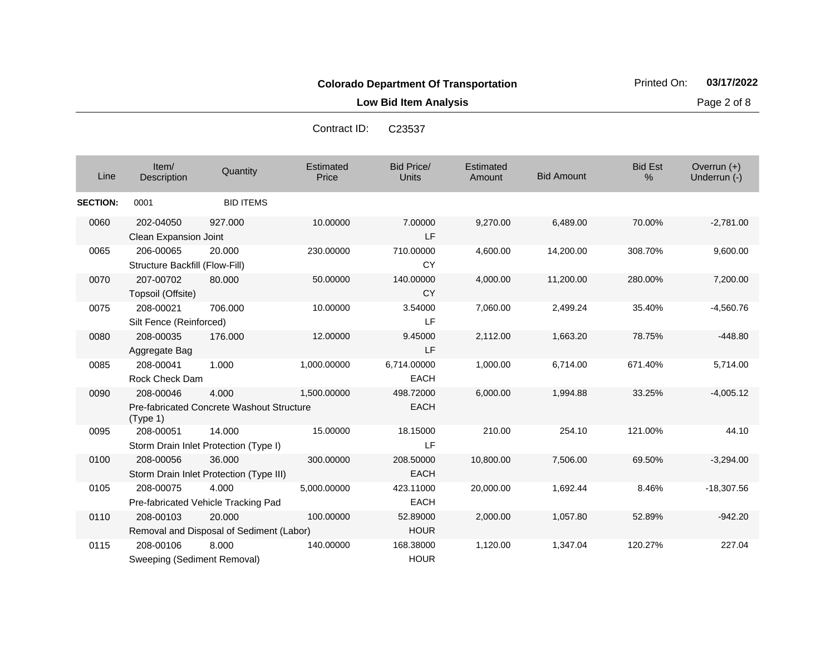**Low Bid Item Analysis Page 2 of 8** 

Contract ID

| ntract ID:<br>C <sub>23537</sub> |
|----------------------------------|
|                                  |

| Line            | Item/<br>Description                        | Quantity                                           | Estimated<br>Price | <b>Bid Price/</b><br><b>Units</b> | Estimated<br>Amount | <b>Bid Amount</b> | <b>Bid Est</b><br>% | Overrun (+)<br>Underrun (-) |
|-----------------|---------------------------------------------|----------------------------------------------------|--------------------|-----------------------------------|---------------------|-------------------|---------------------|-----------------------------|
| <b>SECTION:</b> | 0001                                        | <b>BID ITEMS</b>                                   |                    |                                   |                     |                   |                     |                             |
| 0060            | 202-04050<br>Clean Expansion Joint          | 927.000                                            | 10.00000           | 7.00000<br>LF                     | 9,270.00            | 6,489.00          | 70.00%              | $-2,781.00$                 |
| 0065            | 206-00065<br>Structure Backfill (Flow-Fill) | 20.000                                             | 230.00000          | 710.00000<br><b>CY</b>            | 4,600.00            | 14,200.00         | 308.70%             | 9,600.00                    |
| 0070            | 207-00702<br>Topsoil (Offsite)              | 80.000                                             | 50.00000           | 140.00000<br><b>CY</b>            | 4,000.00            | 11,200.00         | 280.00%             | 7,200.00                    |
| 0075            | 208-00021<br>Silt Fence (Reinforced)        | 706.000                                            | 10.00000           | 3.54000<br>LF                     | 7,060.00            | 2,499.24          | 35.40%              | $-4,560.76$                 |
| 0080            | 208-00035<br>Aggregate Bag                  | 176.000                                            | 12.00000           | 9.45000<br>LF                     | 2,112.00            | 1,663.20          | 78.75%              | $-448.80$                   |
| 0085            | 208-00041<br>Rock Check Dam                 | 1.000                                              | 1,000.00000        | 6,714.00000<br><b>EACH</b>        | 1,000.00            | 6,714.00          | 671.40%             | 5,714.00                    |
| 0090            | 208-00046<br>(Type 1)                       | 4.000<br>Pre-fabricated Concrete Washout Structure | 1,500.00000        | 498.72000<br><b>EACH</b>          | 6,000.00            | 1,994.88          | 33.25%              | $-4,005.12$                 |
| 0095            | 208-00051                                   | 14.000<br>Storm Drain Inlet Protection (Type I)    | 15.00000           | 18.15000<br>LF                    | 210.00              | 254.10            | 121.00%             | 44.10                       |
| 0100            | 208-00056                                   | 36.000<br>Storm Drain Inlet Protection (Type III)  | 300.00000          | 208.50000<br><b>EACH</b>          | 10,800.00           | 7,506.00          | 69.50%              | $-3,294.00$                 |
| 0105            | 208-00075                                   | 4.000<br>Pre-fabricated Vehicle Tracking Pad       | 5,000.00000        | 423.11000<br><b>EACH</b>          | 20,000.00           | 1,692.44          | 8.46%               | $-18,307.56$                |
| 0110            | 208-00103                                   | 20,000<br>Removal and Disposal of Sediment (Labor) | 100.00000          | 52.89000<br><b>HOUR</b>           | 2,000.00            | 1,057.80          | 52.89%              | $-942.20$                   |
| 0115            | 208-00106<br>Sweeping (Sediment Removal)    | 8.000                                              | 140.00000          | 168.38000<br><b>HOUR</b>          | 1,120.00            | 1,347.04          | 120.27%             | 227.04                      |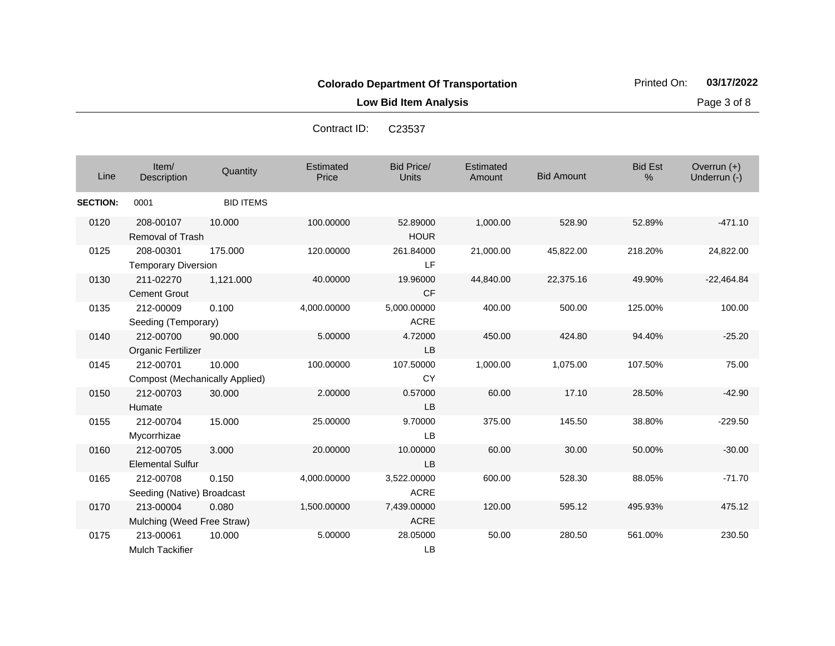**Low Bid Item Analysis Page 3 of 8** 

| Contract ID: | C23537 |
|--------------|--------|
|              |        |

| Line            | Item/<br>Description                               | Quantity         | Estimated<br>Price | <b>Bid Price/</b><br><b>Units</b> | Estimated<br>Amount | <b>Bid Amount</b> | <b>Bid Est</b><br>% | Overrun (+)<br>Underrun (-) |
|-----------------|----------------------------------------------------|------------------|--------------------|-----------------------------------|---------------------|-------------------|---------------------|-----------------------------|
| <b>SECTION:</b> | 0001                                               | <b>BID ITEMS</b> |                    |                                   |                     |                   |                     |                             |
| 0120            | 208-00107<br><b>Removal of Trash</b>               | 10.000           | 100.00000          | 52.89000<br><b>HOUR</b>           | 1,000.00            | 528.90            | 52.89%              | $-471.10$                   |
| 0125            | 208-00301<br><b>Temporary Diversion</b>            | 175.000          | 120.00000          | 261.84000<br>LF                   | 21,000.00           | 45,822.00         | 218.20%             | 24,822.00                   |
| 0130            | 211-02270<br><b>Cement Grout</b>                   | 1,121.000        | 40.00000           | 19.96000<br><b>CF</b>             | 44,840.00           | 22,375.16         | 49.90%              | $-22,464.84$                |
| 0135            | 212-00009<br>Seeding (Temporary)                   | 0.100            | 4,000.00000        | 5,000.00000<br><b>ACRE</b>        | 400.00              | 500.00            | 125.00%             | 100.00                      |
| 0140            | 212-00700<br>Organic Fertilizer                    | 90.000           | 5.00000            | 4.72000<br><b>LB</b>              | 450.00              | 424.80            | 94.40%              | $-25.20$                    |
| 0145            | 212-00701<br><b>Compost (Mechanically Applied)</b> | 10.000           | 100.00000          | 107.50000<br><b>CY</b>            | 1,000.00            | 1,075.00          | 107.50%             | 75.00                       |
| 0150            | 212-00703<br>Humate                                | 30,000           | 2.00000            | 0.57000<br>LB                     | 60.00               | 17.10             | 28.50%              | $-42.90$                    |
| 0155            | 212-00704<br>Mycorrhizae                           | 15.000           | 25.00000           | 9.70000<br>LB                     | 375.00              | 145.50            | 38.80%              | $-229.50$                   |
| 0160            | 212-00705<br><b>Elemental Sulfur</b>               | 3.000            | 20.00000           | 10.00000<br><b>LB</b>             | 60.00               | 30.00             | 50.00%              | $-30.00$                    |
| 0165            | 212-00708<br>Seeding (Native) Broadcast            | 0.150            | 4,000.00000        | 3,522.00000<br><b>ACRE</b>        | 600.00              | 528.30            | 88.05%              | $-71.70$                    |
| 0170            | 213-00004<br>Mulching (Weed Free Straw)            | 0.080            | 1,500.00000        | 7,439.00000<br><b>ACRE</b>        | 120.00              | 595.12            | 495.93%             | 475.12                      |
| 0175            | 213-00061<br><b>Mulch Tackifier</b>                | 10.000           | 5.00000            | 28.05000<br>LB                    | 50.00               | 280.50            | 561.00%             | 230.50                      |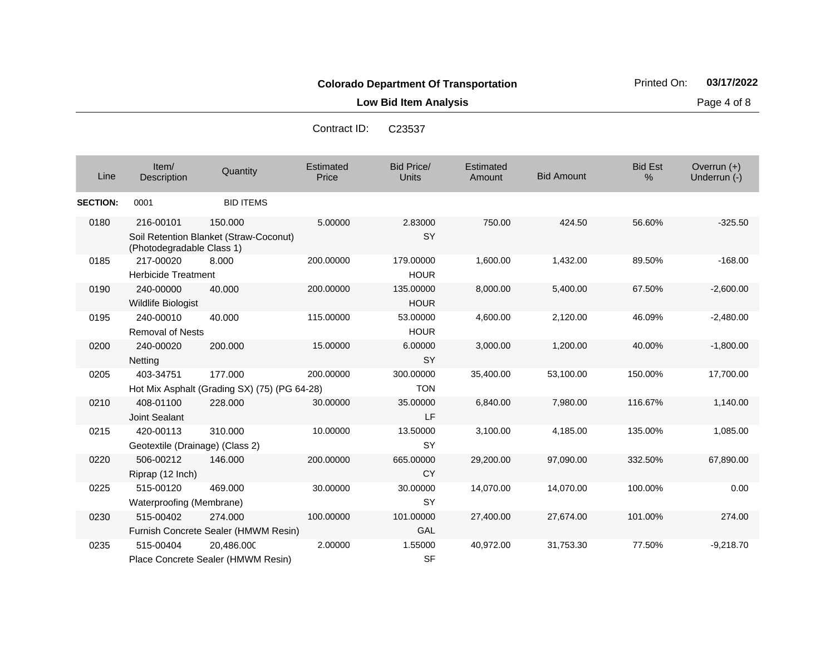**Low Bid Item Analysis Page 4 of 8** 

| Line            | Item/<br>Description                         | Quantity                                                | Estimated<br>Price | <b>Bid Price/</b><br><b>Units</b> | Estimated<br>Amount | <b>Bid Amount</b> | <b>Bid Est</b><br>% | Overrun $(+)$<br>Underrun (-) |
|-----------------|----------------------------------------------|---------------------------------------------------------|--------------------|-----------------------------------|---------------------|-------------------|---------------------|-------------------------------|
| <b>SECTION:</b> | 0001                                         | <b>BID ITEMS</b>                                        |                    |                                   |                     |                   |                     |                               |
| 0180            | 216-00101<br>(Photodegradable Class 1)       | 150,000<br>Soil Retention Blanket (Straw-Coconut)       | 5.00000            | 2.83000<br><b>SY</b>              | 750.00              | 424.50            | 56.60%              | $-325.50$                     |
| 0185            | 217-00020<br><b>Herbicide Treatment</b>      | 8.000                                                   | 200.00000          | 179.00000<br><b>HOUR</b>          | 1,600.00            | 1,432.00          | 89.50%              | $-168.00$                     |
| 0190            | 240-00000<br><b>Wildlife Biologist</b>       | 40.000                                                  | 200.00000          | 135.00000<br><b>HOUR</b>          | 8,000.00            | 5,400.00          | 67.50%              | $-2,600.00$                   |
| 0195            | 240-00010<br><b>Removal of Nests</b>         | 40.000                                                  | 115.00000          | 53.00000<br><b>HOUR</b>           | 4,600.00            | 2,120.00          | 46.09%              | $-2,480.00$                   |
| 0200            | 240-00020<br>Netting                         | 200.000                                                 | 15.00000           | 6.00000<br><b>SY</b>              | 3,000.00            | 1,200.00          | 40.00%              | $-1,800.00$                   |
| 0205            | 403-34751                                    | 177.000<br>Hot Mix Asphalt (Grading SX) (75) (PG 64-28) | 200.00000          | 300.00000<br><b>TON</b>           | 35,400.00           | 53,100.00         | 150.00%             | 17,700.00                     |
| 0210            | 408-01100<br>Joint Sealant                   | 228.000                                                 | 30.00000           | 35.00000<br>LF                    | 6,840.00            | 7,980.00          | 116.67%             | 1,140.00                      |
| 0215            | 420-00113<br>Geotextile (Drainage) (Class 2) | 310.000                                                 | 10.00000           | 13.50000<br><b>SY</b>             | 3,100.00            | 4,185.00          | 135.00%             | 1,085.00                      |
| 0220            | 506-00212<br>Riprap (12 Inch)                | 146.000                                                 | 200.00000          | 665.00000<br><b>CY</b>            | 29,200.00           | 97,090.00         | 332.50%             | 67,890.00                     |
| 0225            | 515-00120<br>Waterproofing (Membrane)        | 469.000                                                 | 30.00000           | 30.00000<br><b>SY</b>             | 14,070.00           | 14,070.00         | 100.00%             | 0.00                          |
| 0230            | 515-00402                                    | 274.000<br>Furnish Concrete Sealer (HMWM Resin)         | 100.00000          | 101.00000<br>GAL                  | 27,400.00           | 27,674.00         | 101.00%             | 274.00                        |
| 0235            | 515-00404                                    | 20,486.000<br>Place Concrete Sealer (HMWM Resin)        | 2.00000            | 1.55000<br><b>SF</b>              | 40,972.00           | 31,753.30         | 77.50%              | $-9,218.70$                   |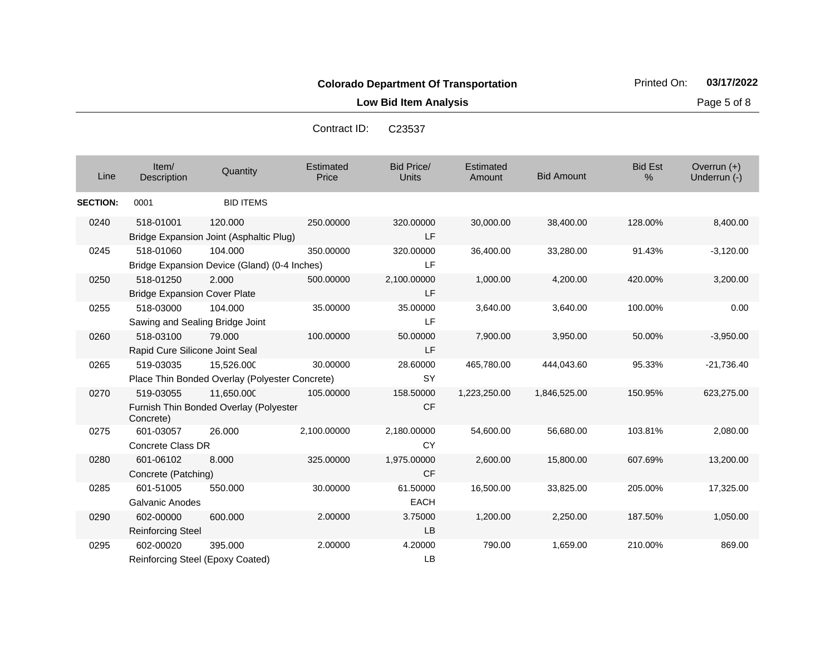**Low Bid Item Analysis Page 5 of 8** 

| Contract ID: | C23537 |
|--------------|--------|
|--------------|--------|

| Line            | Item/<br>Description                             | Quantity                                                     | Estimated<br>Price | <b>Bid Price/</b><br><b>Units</b> | Estimated<br>Amount | <b>Bid Amount</b> | <b>Bid Est</b><br>% | Overrun $(+)$<br>Underrun (-) |
|-----------------|--------------------------------------------------|--------------------------------------------------------------|--------------------|-----------------------------------|---------------------|-------------------|---------------------|-------------------------------|
| <b>SECTION:</b> | 0001                                             | <b>BID ITEMS</b>                                             |                    |                                   |                     |                   |                     |                               |
| 0240            | 518-01001                                        | 120.000<br>Bridge Expansion Joint (Asphaltic Plug)           | 250.00000          | 320.00000<br>LF                   | 30,000.00           | 38,400.00         | 128.00%             | 8,400.00                      |
| 0245            | 518-01060                                        | 104.000<br>Bridge Expansion Device (Gland) (0-4 Inches)      | 350.00000          | 320.00000<br><b>LF</b>            | 36,400.00           | 33,280.00         | 91.43%              | $-3,120.00$                   |
| 0250            | 518-01250<br><b>Bridge Expansion Cover Plate</b> | 2.000                                                        | 500.00000          | 2,100.00000<br>LF                 | 1,000.00            | 4,200.00          | 420.00%             | 3,200.00                      |
| 0255            | 518-03000<br>Sawing and Sealing Bridge Joint     | 104.000                                                      | 35.00000           | 35.00000<br>LF                    | 3,640.00            | 3,640.00          | 100.00%             | 0.00                          |
| 0260            | 518-03100<br>Rapid Cure Silicone Joint Seal      | 79.000                                                       | 100.00000          | 50.00000<br>LF                    | 7,900.00            | 3,950.00          | 50.00%              | $-3,950.00$                   |
| 0265            | 519-03035                                        | 15,526.000<br>Place Thin Bonded Overlay (Polyester Concrete) | 30.00000           | 28.60000<br><b>SY</b>             | 465,780.00          | 444,043.60        | 95.33%              | $-21,736.40$                  |
| 0270            | 519-03055<br>Concrete)                           | 11.650.000<br>Furnish Thin Bonded Overlay (Polyester         | 105.00000          | 158.50000<br><b>CF</b>            | 1,223,250.00        | 1,846,525.00      | 150.95%             | 623,275.00                    |
| 0275            | 601-03057<br>Concrete Class DR                   | 26.000                                                       | 2,100.00000        | 2,180.00000<br>CY                 | 54,600.00           | 56,680.00         | 103.81%             | 2,080.00                      |
| 0280            | 601-06102<br>Concrete (Patching)                 | 8.000                                                        | 325.00000          | 1,975.00000<br><b>CF</b>          | 2,600.00            | 15,800.00         | 607.69%             | 13,200.00                     |
| 0285            | 601-51005<br><b>Galvanic Anodes</b>              | 550.000                                                      | 30.00000           | 61.50000<br><b>EACH</b>           | 16,500.00           | 33,825.00         | 205.00%             | 17,325.00                     |
| 0290            | 602-00000<br><b>Reinforcing Steel</b>            | 600.000                                                      | 2.00000            | 3.75000<br><b>LB</b>              | 1,200.00            | 2,250.00          | 187.50%             | 1,050.00                      |
| 0295            | 602-00020<br>Reinforcing Steel (Epoxy Coated)    | 395.000                                                      | 2.00000            | 4.20000<br>LB                     | 790.00              | 1,659.00          | 210.00%             | 869.00                        |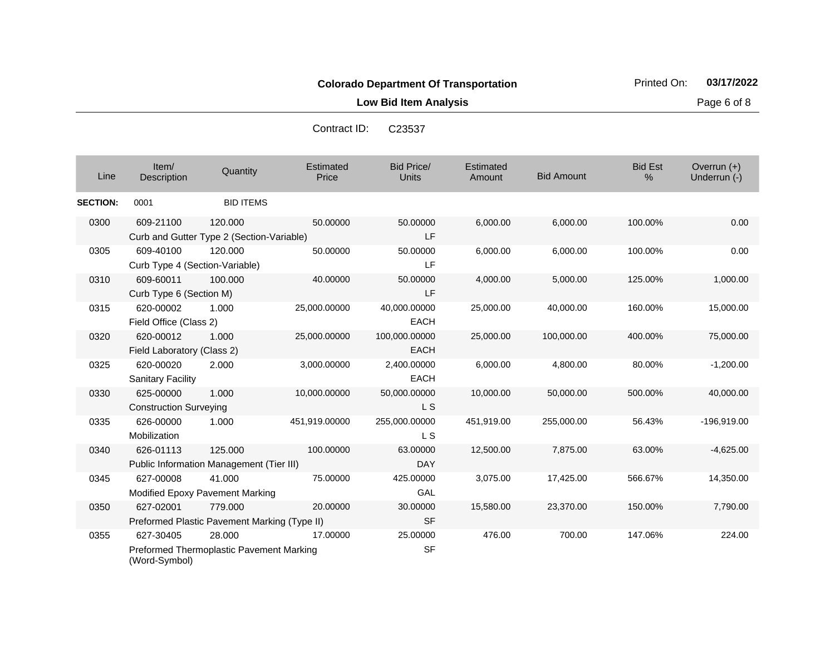**Low Bid Item Analysis Page 6 of 8** 

| Contract ID: | C23537 |
|--------------|--------|
|--------------|--------|

| Line            | Item/<br>Description                        | Quantity                                                | <b>Estimated</b><br>Price | <b>Bid Price/</b><br><b>Units</b> | Estimated<br>Amount | <b>Bid Amount</b> | <b>Bid Est</b><br>% | Overrun $(+)$<br>Underrun (-) |
|-----------------|---------------------------------------------|---------------------------------------------------------|---------------------------|-----------------------------------|---------------------|-------------------|---------------------|-------------------------------|
| <b>SECTION:</b> | 0001                                        | <b>BID ITEMS</b>                                        |                           |                                   |                     |                   |                     |                               |
| 0300            | 609-21100                                   | 120.000<br>Curb and Gutter Type 2 (Section-Variable)    | 50.00000                  | 50.00000<br>LF                    | 6,000.00            | 6,000.00          | 100.00%             | 0.00                          |
| 0305            | 609-40100<br>Curb Type 4 (Section-Variable) | 120.000                                                 | 50.00000                  | 50.00000<br>LF                    | 6,000.00            | 6,000.00          | 100.00%             | 0.00                          |
| 0310            | 609-60011<br>Curb Type 6 (Section M)        | 100.000                                                 | 40.00000                  | 50.00000<br>LF                    | 4,000.00            | 5,000.00          | 125.00%             | 1,000.00                      |
| 0315            | 620-00002<br>Field Office (Class 2)         | 1.000                                                   | 25,000.00000              | 40,000.00000<br><b>EACH</b>       | 25,000.00           | 40,000.00         | 160.00%             | 15,000.00                     |
| 0320            | 620-00012<br>Field Laboratory (Class 2)     | 1.000                                                   | 25,000.00000              | 100,000.00000<br><b>EACH</b>      | 25,000.00           | 100,000.00        | 400.00%             | 75,000.00                     |
| 0325            | 620-00020<br><b>Sanitary Facility</b>       | 2.000                                                   | 3,000.00000               | 2,400.00000<br><b>EACH</b>        | 6,000.00            | 4,800.00          | 80.00%              | $-1,200.00$                   |
| 0330            | 625-00000<br><b>Construction Surveying</b>  | 1.000                                                   | 10,000.00000              | 50,000.00000<br>L S               | 10,000.00           | 50,000.00         | 500.00%             | 40,000.00                     |
| 0335            | 626-00000<br>Mobilization                   | 1.000                                                   | 451,919.00000             | 255,000.00000<br>L S              | 451,919.00          | 255,000.00        | 56.43%              | $-196.919.00$                 |
| 0340            | 626-01113                                   | 125.000<br>Public Information Management (Tier III)     | 100.00000                 | 63.00000<br><b>DAY</b>            | 12,500.00           | 7,875.00          | 63.00%              | $-4,625.00$                   |
| 0345            | 627-00008                                   | 41.000<br>Modified Epoxy Pavement Marking               | 75.00000                  | 425.00000<br>GAL                  | 3,075.00            | 17,425.00         | 566.67%             | 14,350.00                     |
| 0350            | 627-02001                                   | 779.000<br>Preformed Plastic Pavement Marking (Type II) | 20.00000                  | 30.00000<br><b>SF</b>             | 15,580.00           | 23,370.00         | 150.00%             | 7,790.00                      |
| 0355            | 627-30405<br>(Word-Symbol)                  | 28.000<br>Preformed Thermoplastic Pavement Marking      | 17.00000                  | 25.00000<br><b>SF</b>             | 476.00              | 700.00            | 147.06%             | 224.00                        |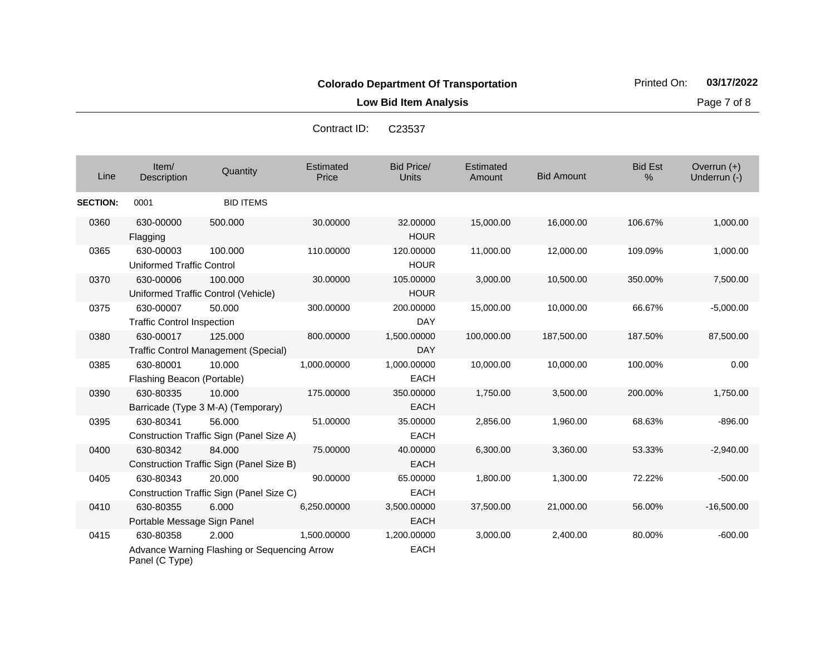**Low Bid Item Analysis Page 7 of 8** 

Contract ID: C23537

| Line            | Item/<br>Description                           | Quantity                                               | Estimated<br>Price | <b>Bid Price/</b><br><b>Units</b> | Estimated<br>Amount | <b>Bid Amount</b> | <b>Bid Est</b><br>% | Overrun $(+)$<br>Underrun (-) |
|-----------------|------------------------------------------------|--------------------------------------------------------|--------------------|-----------------------------------|---------------------|-------------------|---------------------|-------------------------------|
| <b>SECTION:</b> | 0001                                           | <b>BID ITEMS</b>                                       |                    |                                   |                     |                   |                     |                               |
| 0360            | 630-00000<br>Flagging                          | 500.000                                                | 30.00000           | 32.00000<br><b>HOUR</b>           | 15,000.00           | 16,000.00         | 106.67%             | 1,000.00                      |
| 0365            | 630-00003<br>Uniformed Traffic Control         | 100.000                                                | 110.00000          | 120.00000<br><b>HOUR</b>          | 11,000.00           | 12,000.00         | 109.09%             | 1,000.00                      |
| 0370            | 630-00006                                      | 100.000<br>Uniformed Traffic Control (Vehicle)         | 30.00000           | 105.00000<br><b>HOUR</b>          | 3,000.00            | 10,500.00         | 350.00%             | 7,500.00                      |
| 0375            | 630-00007<br><b>Traffic Control Inspection</b> | 50.000                                                 | 300.00000          | 200.00000<br><b>DAY</b>           | 15,000.00           | 10,000.00         | 66.67%              | $-5,000.00$                   |
| 0380            | 630-00017                                      | 125.000<br><b>Traffic Control Management (Special)</b> | 800.00000          | 1,500.00000<br><b>DAY</b>         | 100,000.00          | 187,500.00        | 187.50%             | 87,500.00                     |
| 0385            | 630-80001<br>Flashing Beacon (Portable)        | 10.000                                                 | 1,000.00000        | 1,000.00000<br><b>EACH</b>        | 10,000.00           | 10,000.00         | 100.00%             | 0.00                          |
| 0390            | 630-80335                                      | 10.000<br>Barricade (Type 3 M-A) (Temporary)           | 175.00000          | 350.00000<br><b>EACH</b>          | 1,750.00            | 3,500.00          | 200.00%             | 1,750.00                      |
| 0395            | 630-80341                                      | 56.000<br>Construction Traffic Sign (Panel Size A)     | 51.00000           | 35.00000<br><b>EACH</b>           | 2,856.00            | 1,960.00          | 68.63%              | $-896.00$                     |
| 0400            | 630-80342                                      | 84.000<br>Construction Traffic Sign (Panel Size B)     | 75.00000           | 40.00000<br><b>EACH</b>           | 6,300.00            | 3,360.00          | 53.33%              | $-2,940.00$                   |
| 0405            | 630-80343                                      | 20,000<br>Construction Traffic Sign (Panel Size C)     | 90.00000           | 65.00000<br><b>EACH</b>           | 1,800.00            | 1,300.00          | 72.22%              | $-500.00$                     |
| 0410            | 630-80355<br>Portable Message Sign Panel       | 6.000                                                  | 6,250,00000        | 3,500.00000<br><b>EACH</b>        | 37,500.00           | 21,000.00         | 56.00%              | $-16,500.00$                  |
| 0415            | 630-80358<br>Panel (C Type)                    | 2.000<br>Advance Warning Flashing or Sequencing Arrow  | 1,500.00000        | 1,200.00000<br><b>EACH</b>        | 3,000.00            | 2,400.00          | 80.00%              | $-600.00$                     |